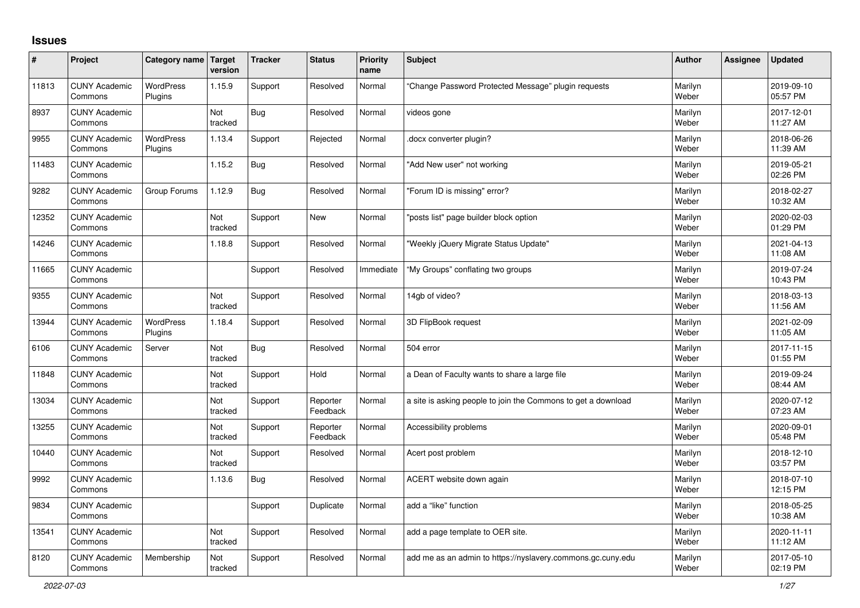## **Issues**

| ∦     | Project                         | Category name Target        | version        | <b>Tracker</b> | <b>Status</b>        | <b>Priority</b><br>name | <b>Subject</b>                                                | <b>Author</b>    | <b>Assignee</b> | <b>Updated</b>         |
|-------|---------------------------------|-----------------------------|----------------|----------------|----------------------|-------------------------|---------------------------------------------------------------|------------------|-----------------|------------------------|
| 11813 | <b>CUNY Academic</b><br>Commons | <b>WordPress</b><br>Plugins | 1.15.9         | Support        | Resolved             | Normal                  | Change Password Protected Message" plugin requests            | Marilyn<br>Weber |                 | 2019-09-10<br>05:57 PM |
| 8937  | <b>CUNY Academic</b><br>Commons |                             | Not<br>tracked | Bug            | Resolved             | Normal                  | videos gone                                                   | Marilyn<br>Weber |                 | 2017-12-01<br>11:27 AM |
| 9955  | <b>CUNY Academic</b><br>Commons | <b>WordPress</b><br>Plugins | 1.13.4         | Support        | Rejected             | Normal                  | docx converter plugin?                                        | Marilyn<br>Weber |                 | 2018-06-26<br>11:39 AM |
| 11483 | <b>CUNY Academic</b><br>Commons |                             | 1.15.2         | Bug            | Resolved             | Normal                  | 'Add New user" not working                                    | Marilyn<br>Weber |                 | 2019-05-21<br>02:26 PM |
| 9282  | <b>CUNY Academic</b><br>Commons | Group Forums                | 1.12.9         | Bug            | Resolved             | Normal                  | 'Forum ID is missing" error?                                  | Marilyn<br>Weber |                 | 2018-02-27<br>10:32 AM |
| 12352 | <b>CUNY Academic</b><br>Commons |                             | Not<br>tracked | Support        | <b>New</b>           | Normal                  | 'posts list" page builder block option                        | Marilyn<br>Weber |                 | 2020-02-03<br>01:29 PM |
| 14246 | <b>CUNY Academic</b><br>Commons |                             | 1.18.8         | Support        | Resolved             | Normal                  | "Weekly jQuery Migrate Status Update"                         | Marilyn<br>Weber |                 | 2021-04-13<br>11:08 AM |
| 11665 | <b>CUNY Academic</b><br>Commons |                             |                | Support        | Resolved             | Immediate               | "My Groups" conflating two groups                             | Marilyn<br>Weber |                 | 2019-07-24<br>10:43 PM |
| 9355  | <b>CUNY Academic</b><br>Commons |                             | Not<br>tracked | Support        | Resolved             | Normal                  | 14gb of video?                                                | Marilyn<br>Weber |                 | 2018-03-13<br>11:56 AM |
| 13944 | <b>CUNY Academic</b><br>Commons | <b>WordPress</b><br>Plugins | 1.18.4         | Support        | Resolved             | Normal                  | 3D FlipBook request                                           | Marilyn<br>Weber |                 | 2021-02-09<br>11:05 AM |
| 6106  | <b>CUNY Academic</b><br>Commons | Server                      | Not<br>tracked | Bug            | Resolved             | Normal                  | 504 error                                                     | Marilyn<br>Weber |                 | 2017-11-15<br>01:55 PM |
| 11848 | <b>CUNY Academic</b><br>Commons |                             | Not<br>tracked | Support        | Hold                 | Normal                  | a Dean of Faculty wants to share a large file                 | Marilyn<br>Weber |                 | 2019-09-24<br>08:44 AM |
| 13034 | <b>CUNY Academic</b><br>Commons |                             | Not<br>tracked | Support        | Reporter<br>Feedback | Normal                  | a site is asking people to join the Commons to get a download | Marilyn<br>Weber |                 | 2020-07-12<br>07:23 AM |
| 13255 | <b>CUNY Academic</b><br>Commons |                             | Not<br>tracked | Support        | Reporter<br>Feedback | Normal                  | Accessibility problems                                        | Marilyn<br>Weber |                 | 2020-09-01<br>05:48 PM |
| 10440 | <b>CUNY Academic</b><br>Commons |                             | Not<br>tracked | Support        | Resolved             | Normal                  | Acert post problem                                            | Marilyn<br>Weber |                 | 2018-12-10<br>03:57 PM |
| 9992  | <b>CUNY Academic</b><br>Commons |                             | 1.13.6         | Bug            | Resolved             | Normal                  | ACERT website down again                                      | Marilyn<br>Weber |                 | 2018-07-10<br>12:15 PM |
| 9834  | <b>CUNY Academic</b><br>Commons |                             |                | Support        | Duplicate            | Normal                  | add a "like" function                                         | Marilyn<br>Weber |                 | 2018-05-25<br>10:38 AM |
| 13541 | <b>CUNY Academic</b><br>Commons |                             | Not<br>tracked | Support        | Resolved             | Normal                  | add a page template to OER site.                              | Marilyn<br>Weber |                 | 2020-11-11<br>11:12 AM |
| 8120  | <b>CUNY Academic</b><br>Commons | Membership                  | Not<br>tracked | Support        | Resolved             | Normal                  | add me as an admin to https://nyslavery.commons.gc.cuny.edu   | Marilyn<br>Weber |                 | 2017-05-10<br>02:19 PM |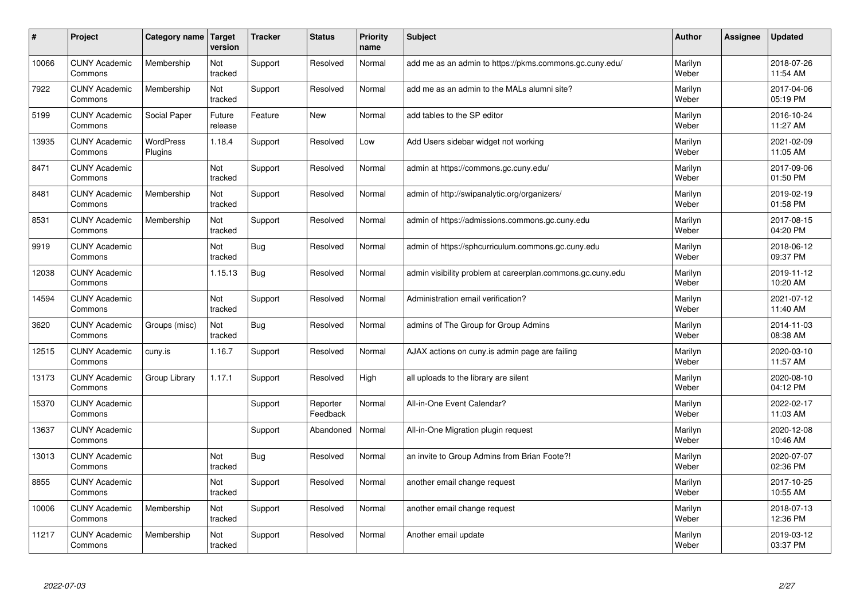| #     | Project                         | Category name               | Target<br>version | <b>Tracker</b> | <b>Status</b>        | <b>Priority</b><br>name | <b>Subject</b>                                             | <b>Author</b>    | Assignee | <b>Updated</b>         |
|-------|---------------------------------|-----------------------------|-------------------|----------------|----------------------|-------------------------|------------------------------------------------------------|------------------|----------|------------------------|
| 10066 | <b>CUNY Academic</b><br>Commons | Membership                  | Not<br>tracked    | Support        | Resolved             | Normal                  | add me as an admin to https://pkms.commons.gc.cuny.edu/    | Marilyn<br>Weber |          | 2018-07-26<br>11:54 AM |
| 7922  | <b>CUNY Academic</b><br>Commons | Membership                  | Not<br>tracked    | Support        | Resolved             | Normal                  | add me as an admin to the MALs alumni site?                | Marilyn<br>Weber |          | 2017-04-06<br>05:19 PM |
| 5199  | <b>CUNY Academic</b><br>Commons | Social Paper                | Future<br>release | Feature        | <b>New</b>           | Normal                  | add tables to the SP editor                                | Marilyn<br>Weber |          | 2016-10-24<br>11:27 AM |
| 13935 | <b>CUNY Academic</b><br>Commons | <b>WordPress</b><br>Plugins | 1.18.4            | Support        | Resolved             | Low                     | Add Users sidebar widget not working                       | Marilyn<br>Weber |          | 2021-02-09<br>11:05 AM |
| 8471  | <b>CUNY Academic</b><br>Commons |                             | Not<br>tracked    | Support        | Resolved             | Normal                  | admin at https://commons.gc.cuny.edu/                      | Marilyn<br>Weber |          | 2017-09-06<br>01:50 PM |
| 8481  | <b>CUNY Academic</b><br>Commons | Membership                  | Not<br>tracked    | Support        | Resolved             | Normal                  | admin of http://swipanalytic.org/organizers/               | Marilyn<br>Weber |          | 2019-02-19<br>01:58 PM |
| 8531  | <b>CUNY Academic</b><br>Commons | Membership                  | Not<br>tracked    | Support        | Resolved             | Normal                  | admin of https://admissions.commons.gc.cuny.edu            | Marilyn<br>Weber |          | 2017-08-15<br>04:20 PM |
| 9919  | <b>CUNY Academic</b><br>Commons |                             | Not<br>tracked    | <b>Bug</b>     | Resolved             | Normal                  | admin of https://sphcurriculum.commons.gc.cuny.edu         | Marilyn<br>Weber |          | 2018-06-12<br>09:37 PM |
| 12038 | <b>CUNY Academic</b><br>Commons |                             | 1.15.13           | Bug            | Resolved             | Normal                  | admin visibility problem at careerplan.commons.gc.cuny.edu | Marilyn<br>Weber |          | 2019-11-12<br>10:20 AM |
| 14594 | <b>CUNY Academic</b><br>Commons |                             | Not<br>tracked    | Support        | Resolved             | Normal                  | Administration email verification?                         | Marilyn<br>Weber |          | 2021-07-12<br>11:40 AM |
| 3620  | <b>CUNY Academic</b><br>Commons | Groups (misc)               | Not<br>tracked    | <b>Bug</b>     | Resolved             | Normal                  | admins of The Group for Group Admins                       | Marilyn<br>Weber |          | 2014-11-03<br>08:38 AM |
| 12515 | <b>CUNY Academic</b><br>Commons | cuny.is                     | 1.16.7            | Support        | Resolved             | Normal                  | AJAX actions on cuny is admin page are failing             | Marilyn<br>Weber |          | 2020-03-10<br>11:57 AM |
| 13173 | <b>CUNY Academic</b><br>Commons | Group Library               | 1.17.1            | Support        | Resolved             | High                    | all uploads to the library are silent                      | Marilyn<br>Weber |          | 2020-08-10<br>04:12 PM |
| 15370 | <b>CUNY Academic</b><br>Commons |                             |                   | Support        | Reporter<br>Feedback | Normal                  | All-in-One Event Calendar?                                 | Marilyn<br>Weber |          | 2022-02-17<br>11:03 AM |
| 13637 | <b>CUNY Academic</b><br>Commons |                             |                   | Support        | Abandoned            | Normal                  | All-in-One Migration plugin request                        | Marilyn<br>Weber |          | 2020-12-08<br>10:46 AM |
| 13013 | <b>CUNY Academic</b><br>Commons |                             | Not<br>tracked    | Bug            | Resolved             | Normal                  | an invite to Group Admins from Brian Foote?!               | Marilyn<br>Weber |          | 2020-07-07<br>02:36 PM |
| 8855  | <b>CUNY Academic</b><br>Commons |                             | Not<br>tracked    | Support        | Resolved             | Normal                  | another email change request                               | Marilyn<br>Weber |          | 2017-10-25<br>10:55 AM |
| 10006 | <b>CUNY Academic</b><br>Commons | Membership                  | Not<br>tracked    | Support        | Resolved             | Normal                  | another email change request                               | Marilyn<br>Weber |          | 2018-07-13<br>12:36 PM |
| 11217 | <b>CUNY Academic</b><br>Commons | Membership                  | Not<br>tracked    | Support        | Resolved             | Normal                  | Another email update                                       | Marilyn<br>Weber |          | 2019-03-12<br>03:37 PM |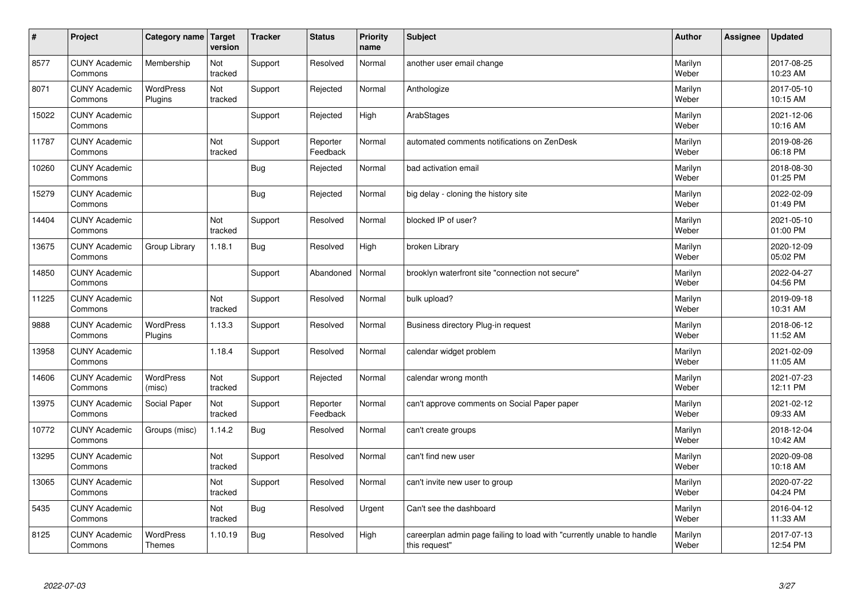| $\vert$ # | Project                         | Category name   Target            | version        | <b>Tracker</b> | <b>Status</b>        | <b>Priority</b><br>name | <b>Subject</b>                                                                          | <b>Author</b>    | Assignee | <b>Updated</b>         |
|-----------|---------------------------------|-----------------------------------|----------------|----------------|----------------------|-------------------------|-----------------------------------------------------------------------------------------|------------------|----------|------------------------|
| 8577      | <b>CUNY Academic</b><br>Commons | Membership                        | Not<br>tracked | Support        | Resolved             | Normal                  | another user email change                                                               | Marilyn<br>Weber |          | 2017-08-25<br>10:23 AM |
| 8071      | <b>CUNY Academic</b><br>Commons | <b>WordPress</b><br>Plugins       | Not<br>tracked | Support        | Rejected             | Normal                  | Anthologize                                                                             | Marilyn<br>Weber |          | 2017-05-10<br>10:15 AM |
| 15022     | <b>CUNY Academic</b><br>Commons |                                   |                | Support        | Rejected             | High                    | ArabStages                                                                              | Marilyn<br>Weber |          | 2021-12-06<br>10:16 AM |
| 11787     | <b>CUNY Academic</b><br>Commons |                                   | Not<br>tracked | Support        | Reporter<br>Feedback | Normal                  | automated comments notifications on ZenDesk                                             | Marilyn<br>Weber |          | 2019-08-26<br>06:18 PM |
| 10260     | <b>CUNY Academic</b><br>Commons |                                   |                | <b>Bug</b>     | Rejected             | Normal                  | bad activation email                                                                    | Marilyn<br>Weber |          | 2018-08-30<br>01:25 PM |
| 15279     | <b>CUNY Academic</b><br>Commons |                                   |                | <b>Bug</b>     | Rejected             | Normal                  | big delay - cloning the history site                                                    | Marilyn<br>Weber |          | 2022-02-09<br>01:49 PM |
| 14404     | <b>CUNY Academic</b><br>Commons |                                   | Not<br>tracked | Support        | Resolved             | Normal                  | blocked IP of user?                                                                     | Marilyn<br>Weber |          | 2021-05-10<br>01:00 PM |
| 13675     | <b>CUNY Academic</b><br>Commons | Group Library                     | 1.18.1         | <b>Bug</b>     | Resolved             | High                    | broken Library                                                                          | Marilyn<br>Weber |          | 2020-12-09<br>05:02 PM |
| 14850     | <b>CUNY Academic</b><br>Commons |                                   |                | Support        | Abandoned            | Normal                  | brooklyn waterfront site "connection not secure"                                        | Marilyn<br>Weber |          | 2022-04-27<br>04:56 PM |
| 11225     | <b>CUNY Academic</b><br>Commons |                                   | Not<br>tracked | Support        | Resolved             | Normal                  | bulk upload?                                                                            | Marilyn<br>Weber |          | 2019-09-18<br>10:31 AM |
| 9888      | <b>CUNY Academic</b><br>Commons | <b>WordPress</b><br>Plugins       | 1.13.3         | Support        | Resolved             | Normal                  | Business directory Plug-in request                                                      | Marilyn<br>Weber |          | 2018-06-12<br>11:52 AM |
| 13958     | <b>CUNY Academic</b><br>Commons |                                   | 1.18.4         | Support        | Resolved             | Normal                  | calendar widget problem                                                                 | Marilyn<br>Weber |          | 2021-02-09<br>11:05 AM |
| 14606     | <b>CUNY Academic</b><br>Commons | <b>WordPress</b><br>(misc)        | Not<br>tracked | Support        | Rejected             | Normal                  | calendar wrong month                                                                    | Marilyn<br>Weber |          | 2021-07-23<br>12:11 PM |
| 13975     | <b>CUNY Academic</b><br>Commons | Social Paper                      | Not<br>tracked | Support        | Reporter<br>Feedback | Normal                  | can't approve comments on Social Paper paper                                            | Marilyn<br>Weber |          | 2021-02-12<br>09:33 AM |
| 10772     | <b>CUNY Academic</b><br>Commons | Groups (misc)                     | 1.14.2         | <b>Bug</b>     | Resolved             | Normal                  | can't create groups                                                                     | Marilyn<br>Weber |          | 2018-12-04<br>10:42 AM |
| 13295     | <b>CUNY Academic</b><br>Commons |                                   | Not<br>tracked | Support        | Resolved             | Normal                  | can't find new user                                                                     | Marilyn<br>Weber |          | 2020-09-08<br>10:18 AM |
| 13065     | <b>CUNY Academic</b><br>Commons |                                   | Not<br>tracked | Support        | Resolved             | Normal                  | can't invite new user to group                                                          | Marilyn<br>Weber |          | 2020-07-22<br>04:24 PM |
| 5435      | <b>CUNY Academic</b><br>Commons |                                   | Not<br>tracked | <b>Bug</b>     | Resolved             | Urgent                  | Can't see the dashboard                                                                 | Marilyn<br>Weber |          | 2016-04-12<br>11:33 AM |
| 8125      | <b>CUNY Academic</b><br>Commons | <b>WordPress</b><br><b>Themes</b> | 1.10.19        | Bug            | Resolved             | High                    | careerplan admin page failing to load with "currently unable to handle<br>this request" | Marilyn<br>Weber |          | 2017-07-13<br>12:54 PM |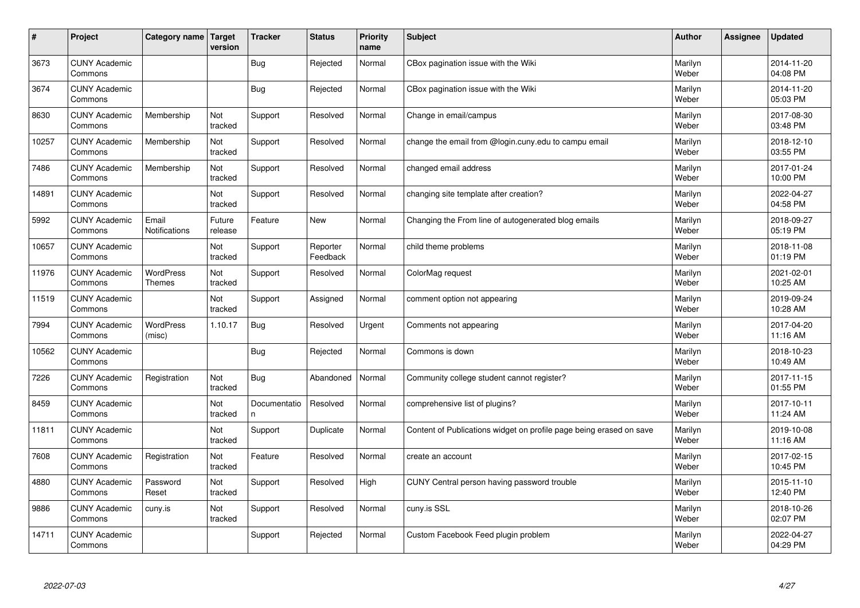| #     | Project                         | Category name   Target            | version           | <b>Tracker</b>    | <b>Status</b>        | <b>Priority</b><br>name | <b>Subject</b>                                                      | <b>Author</b>    | Assignee | <b>Updated</b>         |
|-------|---------------------------------|-----------------------------------|-------------------|-------------------|----------------------|-------------------------|---------------------------------------------------------------------|------------------|----------|------------------------|
| 3673  | <b>CUNY Academic</b><br>Commons |                                   |                   | Bug               | Rejected             | Normal                  | CBox pagination issue with the Wiki                                 | Marilyn<br>Weber |          | 2014-11-20<br>04:08 PM |
| 3674  | <b>CUNY Academic</b><br>Commons |                                   |                   | Bug               | Rejected             | Normal                  | CBox pagination issue with the Wiki                                 | Marilyn<br>Weber |          | 2014-11-20<br>05:03 PM |
| 8630  | <b>CUNY Academic</b><br>Commons | Membership                        | Not<br>tracked    | Support           | Resolved             | Normal                  | Change in email/campus                                              | Marilyn<br>Weber |          | 2017-08-30<br>03:48 PM |
| 10257 | <b>CUNY Academic</b><br>Commons | Membership                        | Not<br>tracked    | Support           | Resolved             | Normal                  | change the email from @login.cuny.edu to campu email                | Marilyn<br>Weber |          | 2018-12-10<br>03:55 PM |
| 7486  | <b>CUNY Academic</b><br>Commons | Membership                        | Not<br>tracked    | Support           | Resolved             | Normal                  | changed email address                                               | Marilyn<br>Weber |          | 2017-01-24<br>10:00 PM |
| 14891 | <b>CUNY Academic</b><br>Commons |                                   | Not<br>tracked    | Support           | Resolved             | Normal                  | changing site template after creation?                              | Marilyn<br>Weber |          | 2022-04-27<br>04:58 PM |
| 5992  | <b>CUNY Academic</b><br>Commons | Email<br>Notifications            | Future<br>release | Feature           | <b>New</b>           | Normal                  | Changing the From line of autogenerated blog emails                 | Marilyn<br>Weber |          | 2018-09-27<br>05:19 PM |
| 10657 | <b>CUNY Academic</b><br>Commons |                                   | Not<br>tracked    | Support           | Reporter<br>Feedback | Normal                  | child theme problems                                                | Marilyn<br>Weber |          | 2018-11-08<br>01:19 PM |
| 11976 | <b>CUNY Academic</b><br>Commons | <b>WordPress</b><br><b>Themes</b> | Not<br>tracked    | Support           | Resolved             | Normal                  | ColorMag request                                                    | Marilyn<br>Weber |          | 2021-02-01<br>10:25 AM |
| 11519 | <b>CUNY Academic</b><br>Commons |                                   | Not<br>tracked    | Support           | Assigned             | Normal                  | comment option not appearing                                        | Marilyn<br>Weber |          | 2019-09-24<br>10:28 AM |
| 7994  | <b>CUNY Academic</b><br>Commons | <b>WordPress</b><br>(misc)        | 1.10.17           | <b>Bug</b>        | Resolved             | Urgent                  | Comments not appearing                                              | Marilyn<br>Weber |          | 2017-04-20<br>11:16 AM |
| 10562 | <b>CUNY Academic</b><br>Commons |                                   |                   | Bug               | Rejected             | Normal                  | Commons is down                                                     | Marilyn<br>Weber |          | 2018-10-23<br>10:49 AM |
| 7226  | <b>CUNY Academic</b><br>Commons | Registration                      | Not<br>tracked    | Bug               | Abandoned            | Normal                  | Community college student cannot register?                          | Marilyn<br>Weber |          | 2017-11-15<br>01:55 PM |
| 8459  | <b>CUNY Academic</b><br>Commons |                                   | Not<br>tracked    | Documentatio<br>n | Resolved             | Normal                  | comprehensive list of plugins?                                      | Marilyn<br>Weber |          | 2017-10-11<br>11:24 AM |
| 11811 | <b>CUNY Academic</b><br>Commons |                                   | Not<br>tracked    | Support           | Duplicate            | Normal                  | Content of Publications widget on profile page being erased on save | Marilyn<br>Weber |          | 2019-10-08<br>11:16 AM |
| 7608  | <b>CUNY Academic</b><br>Commons | Registration                      | Not<br>tracked    | Feature           | Resolved             | Normal                  | create an account                                                   | Marilyn<br>Weber |          | 2017-02-15<br>10:45 PM |
| 4880  | <b>CUNY Academic</b><br>Commons | Password<br>Reset                 | Not<br>tracked    | Support           | Resolved             | High                    | CUNY Central person having password trouble                         | Marilyn<br>Weber |          | 2015-11-10<br>12:40 PM |
| 9886  | <b>CUNY Academic</b><br>Commons | cuny.is                           | Not<br>tracked    | Support           | Resolved             | Normal                  | cuny.is SSL                                                         | Marilyn<br>Weber |          | 2018-10-26<br>02:07 PM |
| 14711 | <b>CUNY Academic</b><br>Commons |                                   |                   | Support           | Rejected             | Normal                  | Custom Facebook Feed plugin problem                                 | Marilyn<br>Weber |          | 2022-04-27<br>04:29 PM |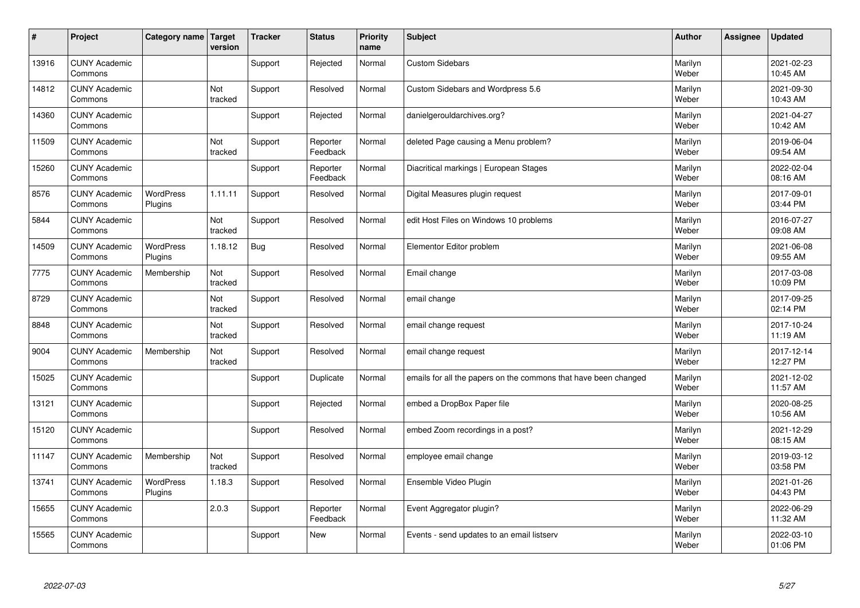| $\sharp$ | Project                         | Category name               | Target<br>version | <b>Tracker</b> | <b>Status</b>        | <b>Priority</b><br>name | <b>Subject</b>                                                  | <b>Author</b>    | <b>Assignee</b> | <b>Updated</b>         |
|----------|---------------------------------|-----------------------------|-------------------|----------------|----------------------|-------------------------|-----------------------------------------------------------------|------------------|-----------------|------------------------|
| 13916    | <b>CUNY Academic</b><br>Commons |                             |                   | Support        | Rejected             | Normal                  | <b>Custom Sidebars</b>                                          | Marilyn<br>Weber |                 | 2021-02-23<br>10:45 AM |
| 14812    | <b>CUNY Academic</b><br>Commons |                             | Not<br>tracked    | Support        | Resolved             | Normal                  | Custom Sidebars and Wordpress 5.6                               | Marilyn<br>Weber |                 | 2021-09-30<br>10:43 AM |
| 14360    | <b>CUNY Academic</b><br>Commons |                             |                   | Support        | Rejected             | Normal                  | danielgerouldarchives.org?                                      | Marilyn<br>Weber |                 | 2021-04-27<br>10:42 AM |
| 11509    | <b>CUNY Academic</b><br>Commons |                             | Not<br>tracked    | Support        | Reporter<br>Feedback | Normal                  | deleted Page causing a Menu problem?                            | Marilyn<br>Weber |                 | 2019-06-04<br>09:54 AM |
| 15260    | <b>CUNY Academic</b><br>Commons |                             |                   | Support        | Reporter<br>Feedback | Normal                  | Diacritical markings   European Stages                          | Marilyn<br>Weber |                 | 2022-02-04<br>08:16 AM |
| 8576     | <b>CUNY Academic</b><br>Commons | <b>WordPress</b><br>Plugins | 1.11.11           | Support        | Resolved             | Normal                  | Digital Measures plugin request                                 | Marilyn<br>Weber |                 | 2017-09-01<br>03:44 PM |
| 5844     | <b>CUNY Academic</b><br>Commons |                             | Not<br>tracked    | Support        | Resolved             | Normal                  | edit Host Files on Windows 10 problems                          | Marilyn<br>Weber |                 | 2016-07-27<br>09:08 AM |
| 14509    | <b>CUNY Academic</b><br>Commons | <b>WordPress</b><br>Plugins | 1.18.12           | <b>Bug</b>     | Resolved             | Normal                  | Elementor Editor problem                                        | Marilyn<br>Weber |                 | 2021-06-08<br>09:55 AM |
| 7775     | <b>CUNY Academic</b><br>Commons | Membership                  | Not<br>tracked    | Support        | Resolved             | Normal                  | Email change                                                    | Marilyn<br>Weber |                 | 2017-03-08<br>10:09 PM |
| 8729     | <b>CUNY Academic</b><br>Commons |                             | Not<br>tracked    | Support        | Resolved             | Normal                  | email change                                                    | Marilyn<br>Weber |                 | 2017-09-25<br>02:14 PM |
| 8848     | <b>CUNY Academic</b><br>Commons |                             | Not<br>tracked    | Support        | Resolved             | Normal                  | email change request                                            | Marilyn<br>Weber |                 | 2017-10-24<br>11:19 AM |
| 9004     | <b>CUNY Academic</b><br>Commons | Membership                  | Not<br>tracked    | Support        | Resolved             | Normal                  | email change request                                            | Marilyn<br>Weber |                 | 2017-12-14<br>12:27 PM |
| 15025    | <b>CUNY Academic</b><br>Commons |                             |                   | Support        | Duplicate            | Normal                  | emails for all the papers on the commons that have been changed | Marilyn<br>Weber |                 | 2021-12-02<br>11:57 AM |
| 13121    | <b>CUNY Academic</b><br>Commons |                             |                   | Support        | Rejected             | Normal                  | embed a DropBox Paper file                                      | Marilyn<br>Weber |                 | 2020-08-25<br>10:56 AM |
| 15120    | <b>CUNY Academic</b><br>Commons |                             |                   | Support        | Resolved             | Normal                  | embed Zoom recordings in a post?                                | Marilyn<br>Weber |                 | 2021-12-29<br>08:15 AM |
| 11147    | <b>CUNY Academic</b><br>Commons | Membership                  | Not<br>tracked    | Support        | Resolved             | Normal                  | employee email change                                           | Marilyn<br>Weber |                 | 2019-03-12<br>03:58 PM |
| 13741    | <b>CUNY Academic</b><br>Commons | WordPress<br>Plugins        | 1.18.3            | Support        | Resolved             | Normal                  | Ensemble Video Plugin                                           | Marilyn<br>Weber |                 | 2021-01-26<br>04:43 PM |
| 15655    | <b>CUNY Academic</b><br>Commons |                             | 2.0.3             | Support        | Reporter<br>Feedback | Normal                  | Event Aggregator plugin?                                        | Marilyn<br>Weber |                 | 2022-06-29<br>11:32 AM |
| 15565    | <b>CUNY Academic</b><br>Commons |                             |                   | Support        | <b>New</b>           | Normal                  | Events - send updates to an email listserv                      | Marilyn<br>Weber |                 | 2022-03-10<br>01:06 PM |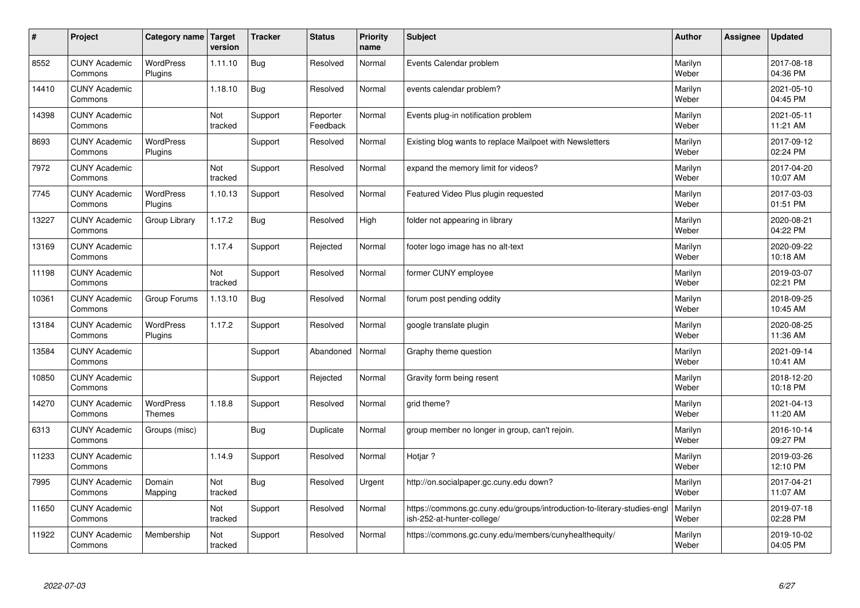| #     | Project                         | Category name               | Target<br>version | <b>Tracker</b> | <b>Status</b>        | <b>Priority</b><br>name | <b>Subject</b>                                                                                         | <b>Author</b>    | Assignee | <b>Updated</b>         |
|-------|---------------------------------|-----------------------------|-------------------|----------------|----------------------|-------------------------|--------------------------------------------------------------------------------------------------------|------------------|----------|------------------------|
| 8552  | <b>CUNY Academic</b><br>Commons | <b>WordPress</b><br>Plugins | 1.11.10           | <b>Bug</b>     | Resolved             | Normal                  | Events Calendar problem                                                                                | Marilyn<br>Weber |          | 2017-08-18<br>04:36 PM |
| 14410 | <b>CUNY Academic</b><br>Commons |                             | 1.18.10           | Bug            | Resolved             | Normal                  | events calendar problem?                                                                               | Marilyn<br>Weber |          | 2021-05-10<br>04:45 PM |
| 14398 | <b>CUNY Academic</b><br>Commons |                             | Not<br>tracked    | Support        | Reporter<br>Feedback | Normal                  | Events plug-in notification problem                                                                    | Marilyn<br>Weber |          | 2021-05-11<br>11:21 AM |
| 8693  | <b>CUNY Academic</b><br>Commons | <b>WordPress</b><br>Plugins |                   | Support        | Resolved             | Normal                  | Existing blog wants to replace Mailpoet with Newsletters                                               | Marilyn<br>Weber |          | 2017-09-12<br>02:24 PM |
| 7972  | <b>CUNY Academic</b><br>Commons |                             | Not<br>tracked    | Support        | Resolved             | Normal                  | expand the memory limit for videos?                                                                    | Marilyn<br>Weber |          | 2017-04-20<br>10:07 AM |
| 7745  | <b>CUNY Academic</b><br>Commons | <b>WordPress</b><br>Plugins | 1.10.13           | Support        | Resolved             | Normal                  | Featured Video Plus plugin requested                                                                   | Marilyn<br>Weber |          | 2017-03-03<br>01:51 PM |
| 13227 | <b>CUNY Academic</b><br>Commons | Group Library               | 1.17.2            | Bug            | Resolved             | High                    | folder not appearing in library                                                                        | Marilyn<br>Weber |          | 2020-08-21<br>04:22 PM |
| 13169 | <b>CUNY Academic</b><br>Commons |                             | 1.17.4            | Support        | Rejected             | Normal                  | footer logo image has no alt-text                                                                      | Marilyn<br>Weber |          | 2020-09-22<br>10:18 AM |
| 11198 | <b>CUNY Academic</b><br>Commons |                             | Not<br>tracked    | Support        | Resolved             | Normal                  | former CUNY employee                                                                                   | Marilyn<br>Weber |          | 2019-03-07<br>02:21 PM |
| 10361 | <b>CUNY Academic</b><br>Commons | Group Forums                | 1.13.10           | Bug            | Resolved             | Normal                  | forum post pending oddity                                                                              | Marilyn<br>Weber |          | 2018-09-25<br>10:45 AM |
| 13184 | <b>CUNY Academic</b><br>Commons | <b>WordPress</b><br>Plugins | 1.17.2            | Support        | Resolved             | Normal                  | google translate plugin                                                                                | Marilyn<br>Weber |          | 2020-08-25<br>11:36 AM |
| 13584 | <b>CUNY Academic</b><br>Commons |                             |                   | Support        | Abandoned            | Normal                  | Graphy theme question                                                                                  | Marilyn<br>Weber |          | 2021-09-14<br>10:41 AM |
| 10850 | <b>CUNY Academic</b><br>Commons |                             |                   | Support        | Rejected             | Normal                  | Gravity form being resent                                                                              | Marilyn<br>Weber |          | 2018-12-20<br>10:18 PM |
| 14270 | <b>CUNY Academic</b><br>Commons | <b>WordPress</b><br>Themes  | 1.18.8            | Support        | Resolved             | Normal                  | grid theme?                                                                                            | Marilyn<br>Weber |          | 2021-04-13<br>11:20 AM |
| 6313  | <b>CUNY Academic</b><br>Commons | Groups (misc)               |                   | <b>Bug</b>     | Duplicate            | Normal                  | group member no longer in group, can't rejoin.                                                         | Marilyn<br>Weber |          | 2016-10-14<br>09:27 PM |
| 11233 | <b>CUNY Academic</b><br>Commons |                             | 1.14.9            | Support        | Resolved             | Normal                  | Hotjar?                                                                                                | Marilyn<br>Weber |          | 2019-03-26<br>12:10 PM |
| 7995  | <b>CUNY Academic</b><br>Commons | Domain<br>Mapping           | Not<br>tracked    | Bug            | Resolved             | Urgent                  | http://on.socialpaper.gc.cuny.edu down?                                                                | Marilyn<br>Weber |          | 2017-04-21<br>11:07 AM |
| 11650 | <b>CUNY Academic</b><br>Commons |                             | Not<br>tracked    | Support        | Resolved             | Normal                  | https://commons.gc.cuny.edu/groups/introduction-to-literary-studies-engl<br>ish-252-at-hunter-college/ | Marilyn<br>Weber |          | 2019-07-18<br>02:28 PM |
| 11922 | <b>CUNY Academic</b><br>Commons | Membership                  | Not<br>tracked    | Support        | Resolved             | Normal                  | https://commons.gc.cuny.edu/members/cunyhealthequity/                                                  | Marilyn<br>Weber |          | 2019-10-02<br>04:05 PM |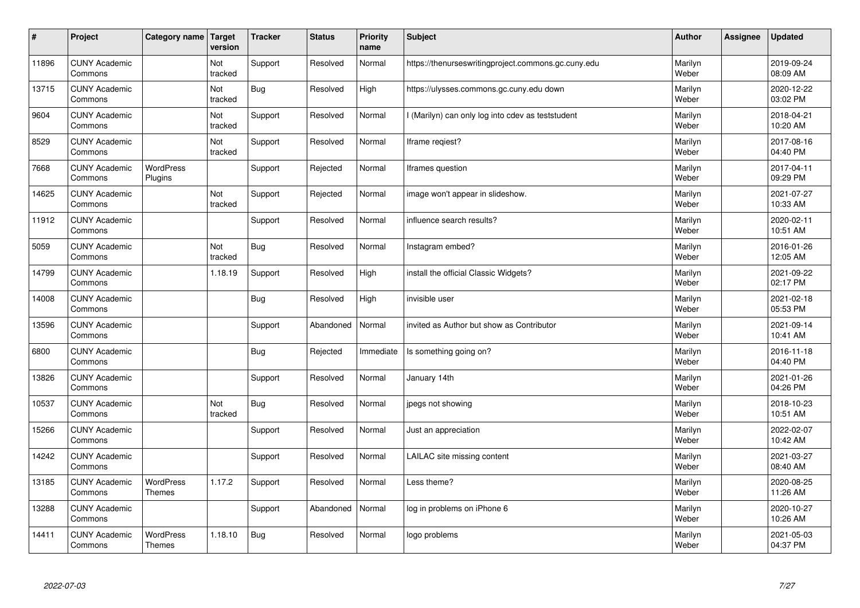| $\sharp$ | Project                         | Category name                     | Target<br>version | <b>Tracker</b> | <b>Status</b> | <b>Priority</b><br>name | <b>Subject</b>                                      | <b>Author</b>    | Assignee | <b>Updated</b>         |
|----------|---------------------------------|-----------------------------------|-------------------|----------------|---------------|-------------------------|-----------------------------------------------------|------------------|----------|------------------------|
| 11896    | <b>CUNY Academic</b><br>Commons |                                   | Not<br>tracked    | Support        | Resolved      | Normal                  | https://thenurseswritingproject.commons.gc.cuny.edu | Marilyn<br>Weber |          | 2019-09-24<br>08:09 AM |
| 13715    | <b>CUNY Academic</b><br>Commons |                                   | Not<br>tracked    | Bug            | Resolved      | High                    | https://ulysses.commons.gc.cuny.edu down            | Marilyn<br>Weber |          | 2020-12-22<br>03:02 PM |
| 9604     | <b>CUNY Academic</b><br>Commons |                                   | Not<br>tracked    | Support        | Resolved      | Normal                  | I (Marilyn) can only log into cdev as teststudent   | Marilyn<br>Weber |          | 2018-04-21<br>10:20 AM |
| 8529     | <b>CUNY Academic</b><br>Commons |                                   | Not<br>tracked    | Support        | Resolved      | Normal                  | Iframe regiest?                                     | Marilyn<br>Weber |          | 2017-08-16<br>04:40 PM |
| 7668     | <b>CUNY Academic</b><br>Commons | <b>WordPress</b><br>Plugins       |                   | Support        | Rejected      | Normal                  | Iframes question                                    | Marilyn<br>Weber |          | 2017-04-11<br>09:29 PM |
| 14625    | <b>CUNY Academic</b><br>Commons |                                   | Not<br>tracked    | Support        | Rejected      | Normal                  | image won't appear in slideshow.                    | Marilyn<br>Weber |          | 2021-07-27<br>10:33 AM |
| 11912    | <b>CUNY Academic</b><br>Commons |                                   |                   | Support        | Resolved      | Normal                  | influence search results?                           | Marilyn<br>Weber |          | 2020-02-11<br>10:51 AM |
| 5059     | <b>CUNY Academic</b><br>Commons |                                   | Not<br>tracked    | Bug            | Resolved      | Normal                  | Instagram embed?                                    | Marilyn<br>Weber |          | 2016-01-26<br>12:05 AM |
| 14799    | <b>CUNY Academic</b><br>Commons |                                   | 1.18.19           | Support        | Resolved      | High                    | install the official Classic Widgets?               | Marilyn<br>Weber |          | 2021-09-22<br>02:17 PM |
| 14008    | <b>CUNY Academic</b><br>Commons |                                   |                   | <b>Bug</b>     | Resolved      | High                    | invisible user                                      | Marilyn<br>Weber |          | 2021-02-18<br>05:53 PM |
| 13596    | <b>CUNY Academic</b><br>Commons |                                   |                   | Support        | Abandoned     | Normal                  | invited as Author but show as Contributor           | Marilyn<br>Weber |          | 2021-09-14<br>10:41 AM |
| 6800     | <b>CUNY Academic</b><br>Commons |                                   |                   | <b>Bug</b>     | Rejected      | Immediate               | Is something going on?                              | Marilyn<br>Weber |          | 2016-11-18<br>04:40 PM |
| 13826    | <b>CUNY Academic</b><br>Commons |                                   |                   | Support        | Resolved      | Normal                  | January 14th                                        | Marilyn<br>Weber |          | 2021-01-26<br>04:26 PM |
| 10537    | <b>CUNY Academic</b><br>Commons |                                   | Not<br>tracked    | Bug            | Resolved      | Normal                  | jpegs not showing                                   | Marilyn<br>Weber |          | 2018-10-23<br>10:51 AM |
| 15266    | <b>CUNY Academic</b><br>Commons |                                   |                   | Support        | Resolved      | Normal                  | Just an appreciation                                | Marilyn<br>Weber |          | 2022-02-07<br>10:42 AM |
| 14242    | <b>CUNY Academic</b><br>Commons |                                   |                   | Support        | Resolved      | Normal                  | LAILAC site missing content                         | Marilyn<br>Weber |          | 2021-03-27<br>08:40 AM |
| 13185    | <b>CUNY Academic</b><br>Commons | WordPress<br>Themes               | 1.17.2            | Support        | Resolved      | Normal                  | Less theme?                                         | Marilyn<br>Weber |          | 2020-08-25<br>11:26 AM |
| 13288    | <b>CUNY Academic</b><br>Commons |                                   |                   | Support        | Abandoned     | Normal                  | log in problems on iPhone 6                         | Marilyn<br>Weber |          | 2020-10-27<br>10:26 AM |
| 14411    | <b>CUNY Academic</b><br>Commons | <b>WordPress</b><br><b>Themes</b> | 1.18.10           | Bug            | Resolved      | Normal                  | logo problems                                       | Marilyn<br>Weber |          | 2021-05-03<br>04:37 PM |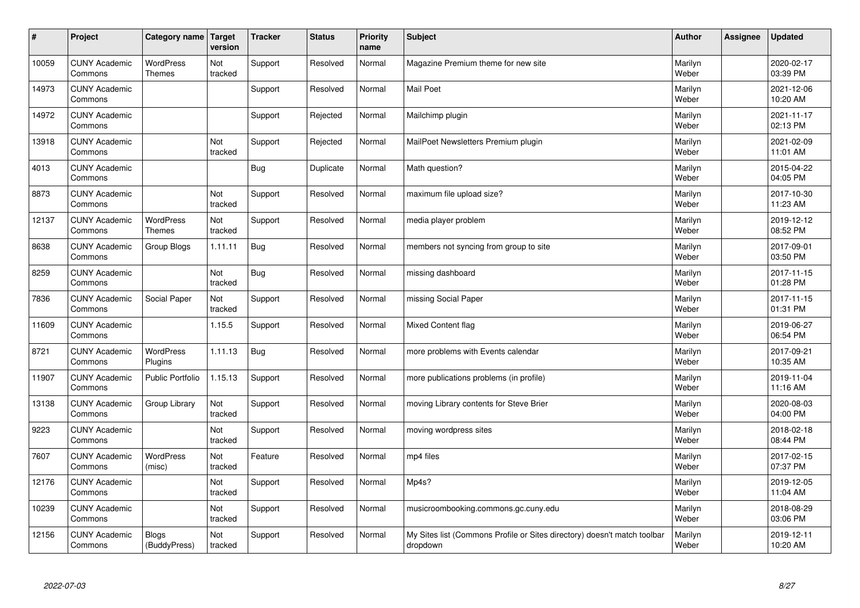| $\sharp$ | Project                         | Category name   Target            | version        | <b>Tracker</b> | <b>Status</b> | <b>Priority</b><br>name | <b>Subject</b>                                                                       | <b>Author</b>    | Assignee | Updated                |
|----------|---------------------------------|-----------------------------------|----------------|----------------|---------------|-------------------------|--------------------------------------------------------------------------------------|------------------|----------|------------------------|
| 10059    | <b>CUNY Academic</b><br>Commons | <b>WordPress</b><br><b>Themes</b> | Not<br>tracked | Support        | Resolved      | Normal                  | Magazine Premium theme for new site                                                  | Marilyn<br>Weber |          | 2020-02-17<br>03:39 PM |
| 14973    | <b>CUNY Academic</b><br>Commons |                                   |                | Support        | Resolved      | Normal                  | <b>Mail Poet</b>                                                                     | Marilyn<br>Weber |          | 2021-12-06<br>10:20 AM |
| 14972    | <b>CUNY Academic</b><br>Commons |                                   |                | Support        | Rejected      | Normal                  | Mailchimp plugin                                                                     | Marilyn<br>Weber |          | 2021-11-17<br>02:13 PM |
| 13918    | <b>CUNY Academic</b><br>Commons |                                   | Not<br>tracked | Support        | Rejected      | Normal                  | MailPoet Newsletters Premium plugin                                                  | Marilyn<br>Weber |          | 2021-02-09<br>11:01 AM |
| 4013     | <b>CUNY Academic</b><br>Commons |                                   |                | Bug            | Duplicate     | Normal                  | Math question?                                                                       | Marilyn<br>Weber |          | 2015-04-22<br>04:05 PM |
| 8873     | <b>CUNY Academic</b><br>Commons |                                   | Not<br>tracked | Support        | Resolved      | Normal                  | maximum file upload size?                                                            | Marilyn<br>Weber |          | 2017-10-30<br>11:23 AM |
| 12137    | <b>CUNY Academic</b><br>Commons | <b>WordPress</b><br><b>Themes</b> | Not<br>tracked | Support        | Resolved      | Normal                  | media player problem                                                                 | Marilyn<br>Weber |          | 2019-12-12<br>08:52 PM |
| 8638     | <b>CUNY Academic</b><br>Commons | Group Blogs                       | 1.11.11        | Bug            | Resolved      | Normal                  | members not syncing from group to site                                               | Marilyn<br>Weber |          | 2017-09-01<br>03:50 PM |
| 8259     | <b>CUNY Academic</b><br>Commons |                                   | Not<br>tracked | Bug            | Resolved      | Normal                  | missing dashboard                                                                    | Marilyn<br>Weber |          | 2017-11-15<br>01:28 PM |
| 7836     | <b>CUNY Academic</b><br>Commons | Social Paper                      | Not<br>tracked | Support        | Resolved      | Normal                  | missing Social Paper                                                                 | Marilyn<br>Weber |          | 2017-11-15<br>01:31 PM |
| 11609    | <b>CUNY Academic</b><br>Commons |                                   | 1.15.5         | Support        | Resolved      | Normal                  | Mixed Content flag                                                                   | Marilyn<br>Weber |          | 2019-06-27<br>06:54 PM |
| 8721     | <b>CUNY Academic</b><br>Commons | <b>WordPress</b><br>Plugins       | 1.11.13        | <b>Bug</b>     | Resolved      | Normal                  | more problems with Events calendar                                                   | Marilyn<br>Weber |          | 2017-09-21<br>10:35 AM |
| 11907    | <b>CUNY Academic</b><br>Commons | <b>Public Portfolio</b>           | 1.15.13        | Support        | Resolved      | Normal                  | more publications problems (in profile)                                              | Marilyn<br>Weber |          | 2019-11-04<br>11:16 AM |
| 13138    | <b>CUNY Academic</b><br>Commons | Group Library                     | Not<br>tracked | Support        | Resolved      | Normal                  | moving Library contents for Steve Brier                                              | Marilyn<br>Weber |          | 2020-08-03<br>04:00 PM |
| 9223     | <b>CUNY Academic</b><br>Commons |                                   | Not<br>tracked | Support        | Resolved      | Normal                  | moving wordpress sites                                                               | Marilyn<br>Weber |          | 2018-02-18<br>08:44 PM |
| 7607     | <b>CUNY Academic</b><br>Commons | WordPress<br>(misc)               | Not<br>tracked | Feature        | Resolved      | Normal                  | mp4 files                                                                            | Marilyn<br>Weber |          | 2017-02-15<br>07:37 PM |
| 12176    | <b>CUNY Academic</b><br>Commons |                                   | Not<br>tracked | Support        | Resolved      | Normal                  | Mp4s?                                                                                | Marilyn<br>Weber |          | 2019-12-05<br>11:04 AM |
| 10239    | <b>CUNY Academic</b><br>Commons |                                   | Not<br>tracked | Support        | Resolved      | Normal                  | musicroombooking.commons.gc.cuny.edu                                                 | Marilyn<br>Weber |          | 2018-08-29<br>03:06 PM |
| 12156    | <b>CUNY Academic</b><br>Commons | <b>Blogs</b><br>(BuddyPress)      | Not<br>tracked | Support        | Resolved      | Normal                  | My Sites list (Commons Profile or Sites directory) doesn't match toolbar<br>dropdown | Marilyn<br>Weber |          | 2019-12-11<br>10:20 AM |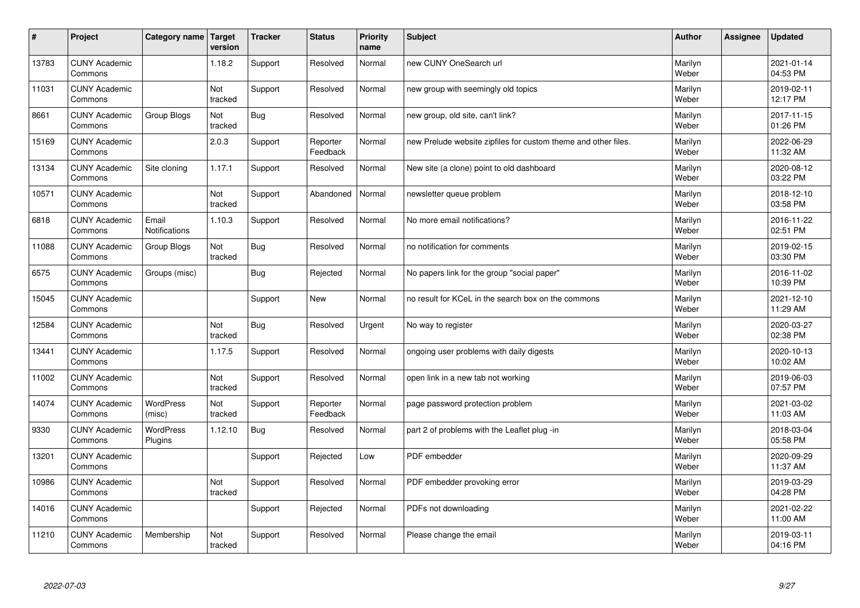| $\sharp$ | Project                         | Category name              | Target<br>version | <b>Tracker</b> | <b>Status</b>        | <b>Priority</b><br>name | <b>Subject</b>                                                 | <b>Author</b>    | Assignee | <b>Updated</b>         |
|----------|---------------------------------|----------------------------|-------------------|----------------|----------------------|-------------------------|----------------------------------------------------------------|------------------|----------|------------------------|
| 13783    | <b>CUNY Academic</b><br>Commons |                            | 1.18.2            | Support        | Resolved             | Normal                  | new CUNY OneSearch url                                         | Marilyn<br>Weber |          | 2021-01-14<br>04:53 PM |
| 11031    | <b>CUNY Academic</b><br>Commons |                            | Not<br>tracked    | Support        | Resolved             | Normal                  | new group with seemingly old topics                            | Marilyn<br>Weber |          | 2019-02-11<br>12:17 PM |
| 8661     | <b>CUNY Academic</b><br>Commons | Group Blogs                | Not<br>tracked    | <b>Bug</b>     | Resolved             | Normal                  | new group, old site, can't link?                               | Marilyn<br>Weber |          | 2017-11-15<br>01:26 PM |
| 15169    | <b>CUNY Academic</b><br>Commons |                            | 2.0.3             | Support        | Reporter<br>Feedback | Normal                  | new Prelude website zipfiles for custom theme and other files. | Marilyn<br>Weber |          | 2022-06-29<br>11:32 AM |
| 13134    | <b>CUNY Academic</b><br>Commons | Site cloning               | 1.17.1            | Support        | Resolved             | Normal                  | New site (a clone) point to old dashboard                      | Marilyn<br>Weber |          | 2020-08-12<br>03:22 PM |
| 10571    | <b>CUNY Academic</b><br>Commons |                            | Not<br>tracked    | Support        | Abandoned            | Normal                  | newsletter queue problem                                       | Marilyn<br>Weber |          | 2018-12-10<br>03:58 PM |
| 6818     | <b>CUNY Academic</b><br>Commons | Email<br>Notifications     | 1.10.3            | Support        | Resolved             | Normal                  | No more email notifications?                                   | Marilyn<br>Weber |          | 2016-11-22<br>02:51 PM |
| 11088    | <b>CUNY Academic</b><br>Commons | Group Blogs                | Not<br>tracked    | <b>Bug</b>     | Resolved             | Normal                  | no notification for comments                                   | Marilyn<br>Weber |          | 2019-02-15<br>03:30 PM |
| 6575     | <b>CUNY Academic</b><br>Commons | Groups (misc)              |                   | <b>Bug</b>     | Rejected             | Normal                  | No papers link for the group "social paper"                    | Marilyn<br>Weber |          | 2016-11-02<br>10:39 PM |
| 15045    | <b>CUNY Academic</b><br>Commons |                            |                   | Support        | <b>New</b>           | Normal                  | no result for KCeL in the search box on the commons            | Marilyn<br>Weber |          | 2021-12-10<br>11:29 AM |
| 12584    | <b>CUNY Academic</b><br>Commons |                            | Not<br>tracked    | <b>Bug</b>     | Resolved             | Urgent                  | No way to register                                             | Marilyn<br>Weber |          | 2020-03-27<br>02:38 PM |
| 13441    | <b>CUNY Academic</b><br>Commons |                            | 1.17.5            | Support        | Resolved             | Normal                  | ongoing user problems with daily digests                       | Marilyn<br>Weber |          | 2020-10-13<br>10:02 AM |
| 11002    | <b>CUNY Academic</b><br>Commons |                            | Not<br>tracked    | Support        | Resolved             | Normal                  | open link in a new tab not working                             | Marilyn<br>Weber |          | 2019-06-03<br>07:57 PM |
| 14074    | <b>CUNY Academic</b><br>Commons | <b>WordPress</b><br>(misc) | Not<br>tracked    | Support        | Reporter<br>Feedback | Normal                  | page password protection problem                               | Marilyn<br>Weber |          | 2021-03-02<br>11:03 AM |
| 9330     | <b>CUNY Academic</b><br>Commons | WordPress<br>Plugins       | 1.12.10           | <b>Bug</b>     | Resolved             | Normal                  | part 2 of problems with the Leaflet plug -in                   | Marilyn<br>Weber |          | 2018-03-04<br>05:58 PM |
| 13201    | <b>CUNY Academic</b><br>Commons |                            |                   | Support        | Rejected             | Low                     | PDF embedder                                                   | Marilyn<br>Weber |          | 2020-09-29<br>11:37 AM |
| 10986    | <b>CUNY Academic</b><br>Commons |                            | Not<br>tracked    | Support        | Resolved             | Normal                  | PDF embedder provoking error                                   | Marilyn<br>Weber |          | 2019-03-29<br>04:28 PM |
| 14016    | <b>CUNY Academic</b><br>Commons |                            |                   | Support        | Rejected             | Normal                  | PDFs not downloading                                           | Marilyn<br>Weber |          | 2021-02-22<br>11:00 AM |
| 11210    | <b>CUNY Academic</b><br>Commons | Membership                 | Not<br>tracked    | Support        | Resolved             | Normal                  | Please change the email                                        | Marilyn<br>Weber |          | 2019-03-11<br>04:16 PM |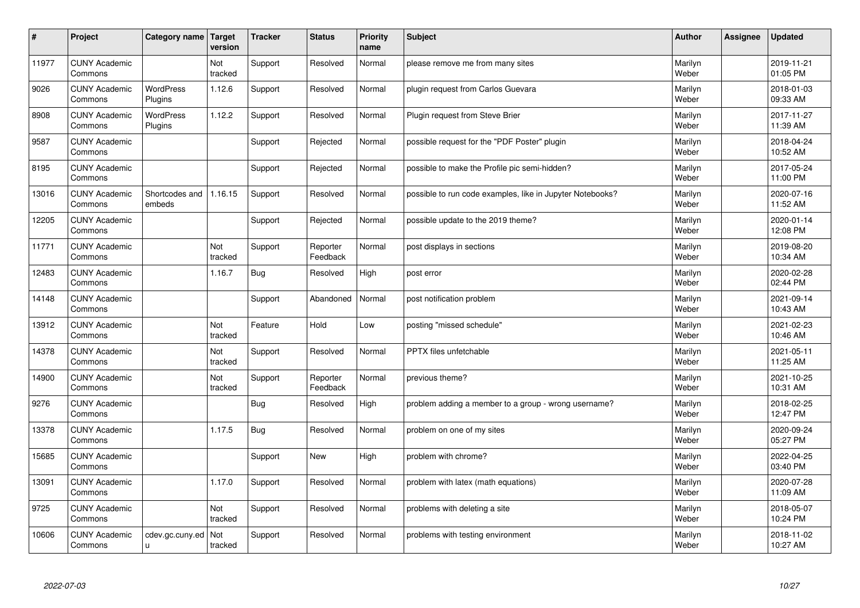| #     | Project                         | Category name   Target      | version        | <b>Tracker</b> | <b>Status</b>        | <b>Priority</b><br>name | <b>Subject</b>                                            | <b>Author</b>    | Assignee | <b>Updated</b>         |
|-------|---------------------------------|-----------------------------|----------------|----------------|----------------------|-------------------------|-----------------------------------------------------------|------------------|----------|------------------------|
| 11977 | <b>CUNY Academic</b><br>Commons |                             | Not<br>tracked | Support        | Resolved             | Normal                  | please remove me from many sites                          | Marilyn<br>Weber |          | 2019-11-21<br>01:05 PM |
| 9026  | <b>CUNY Academic</b><br>Commons | <b>WordPress</b><br>Plugins | 1.12.6         | Support        | Resolved             | Normal                  | plugin request from Carlos Guevara                        | Marilyn<br>Weber |          | 2018-01-03<br>09:33 AM |
| 8908  | <b>CUNY Academic</b><br>Commons | <b>WordPress</b><br>Plugins | 1.12.2         | Support        | Resolved             | Normal                  | Plugin request from Steve Brier                           | Marilyn<br>Weber |          | 2017-11-27<br>11:39 AM |
| 9587  | <b>CUNY Academic</b><br>Commons |                             |                | Support        | Rejected             | Normal                  | possible request for the "PDF Poster" plugin              | Marilyn<br>Weber |          | 2018-04-24<br>10:52 AM |
| 8195  | <b>CUNY Academic</b><br>Commons |                             |                | Support        | Rejected             | Normal                  | possible to make the Profile pic semi-hidden?             | Marilyn<br>Weber |          | 2017-05-24<br>11:00 PM |
| 13016 | <b>CUNY Academic</b><br>Commons | Shortcodes and<br>embeds    | 1.16.15        | Support        | Resolved             | Normal                  | possible to run code examples, like in Jupyter Notebooks? | Marilyn<br>Weber |          | 2020-07-16<br>11:52 AM |
| 12205 | <b>CUNY Academic</b><br>Commons |                             |                | Support        | Rejected             | Normal                  | possible update to the 2019 theme?                        | Marilyn<br>Weber |          | 2020-01-14<br>12:08 PM |
| 11771 | <b>CUNY Academic</b><br>Commons |                             | Not<br>tracked | Support        | Reporter<br>Feedback | Normal                  | post displays in sections                                 | Marilyn<br>Weber |          | 2019-08-20<br>10:34 AM |
| 12483 | <b>CUNY Academic</b><br>Commons |                             | 1.16.7         | <b>Bug</b>     | Resolved             | High                    | post error                                                | Marilyn<br>Weber |          | 2020-02-28<br>02:44 PM |
| 14148 | <b>CUNY Academic</b><br>Commons |                             |                | Support        | Abandoned            | Normal                  | post notification problem                                 | Marilyn<br>Weber |          | 2021-09-14<br>10:43 AM |
| 13912 | <b>CUNY Academic</b><br>Commons |                             | Not<br>tracked | Feature        | Hold                 | Low                     | posting "missed schedule"                                 | Marilyn<br>Weber |          | 2021-02-23<br>10:46 AM |
| 14378 | <b>CUNY Academic</b><br>Commons |                             | Not<br>tracked | Support        | Resolved             | Normal                  | PPTX files unfetchable                                    | Marilyn<br>Weber |          | 2021-05-11<br>11:25 AM |
| 14900 | <b>CUNY Academic</b><br>Commons |                             | Not<br>tracked | Support        | Reporter<br>Feedback | Normal                  | previous theme?                                           | Marilyn<br>Weber |          | 2021-10-25<br>10:31 AM |
| 9276  | <b>CUNY Academic</b><br>Commons |                             |                | <b>Bug</b>     | Resolved             | High                    | problem adding a member to a group - wrong username?      | Marilyn<br>Weber |          | 2018-02-25<br>12:47 PM |
| 13378 | <b>CUNY Academic</b><br>Commons |                             | 1.17.5         | Bug            | Resolved             | Normal                  | problem on one of my sites                                | Marilyn<br>Weber |          | 2020-09-24<br>05:27 PM |
| 15685 | <b>CUNY Academic</b><br>Commons |                             |                | Support        | <b>New</b>           | High                    | problem with chrome?                                      | Marilyn<br>Weber |          | 2022-04-25<br>03:40 PM |
| 13091 | <b>CUNY Academic</b><br>Commons |                             | 1.17.0         | Support        | Resolved             | Normal                  | problem with latex (math equations)                       | Marilyn<br>Weber |          | 2020-07-28<br>11:09 AM |
| 9725  | <b>CUNY Academic</b><br>Commons |                             | Not<br>tracked | Support        | Resolved             | Normal                  | problems with deleting a site                             | Marilyn<br>Weber |          | 2018-05-07<br>10:24 PM |
| 10606 | <b>CUNY Academic</b><br>Commons | cdev.gc.cuny.ed<br>ū        | Not<br>tracked | Support        | Resolved             | Normal                  | problems with testing environment                         | Marilyn<br>Weber |          | 2018-11-02<br>10:27 AM |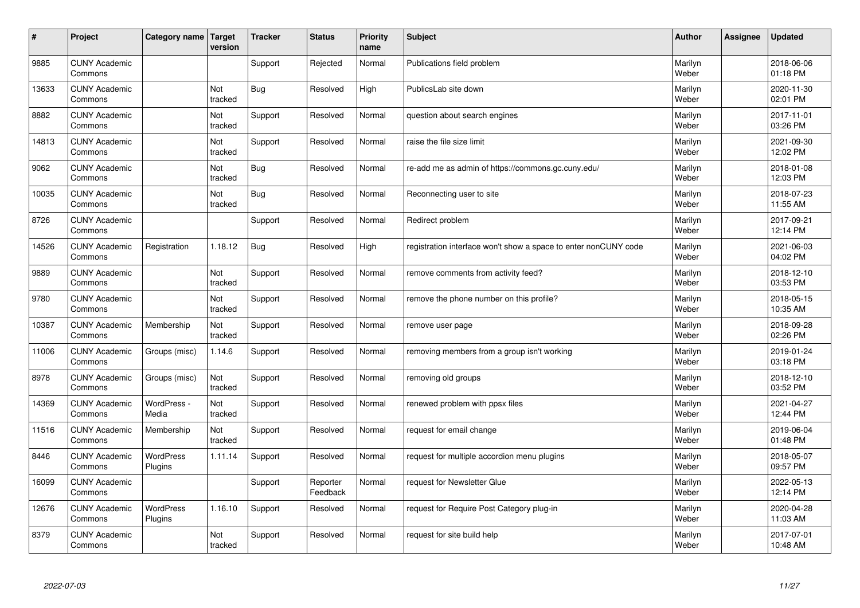| #     | Project                         | Category name   Target | version        | <b>Tracker</b> | <b>Status</b>        | <b>Priority</b><br>name | <b>Subject</b>                                                  | <b>Author</b>    | Assignee | <b>Updated</b>         |
|-------|---------------------------------|------------------------|----------------|----------------|----------------------|-------------------------|-----------------------------------------------------------------|------------------|----------|------------------------|
| 9885  | <b>CUNY Academic</b><br>Commons |                        |                | Support        | Rejected             | Normal                  | Publications field problem                                      | Marilyn<br>Weber |          | 2018-06-06<br>01:18 PM |
| 13633 | <b>CUNY Academic</b><br>Commons |                        | Not<br>tracked | Bug            | Resolved             | High                    | PublicsLab site down                                            | Marilyn<br>Weber |          | 2020-11-30<br>02:01 PM |
| 8882  | <b>CUNY Academic</b><br>Commons |                        | Not<br>tracked | Support        | Resolved             | Normal                  | question about search engines                                   | Marilyn<br>Weber |          | 2017-11-01<br>03:26 PM |
| 14813 | <b>CUNY Academic</b><br>Commons |                        | Not<br>tracked | Support        | Resolved             | Normal                  | raise the file size limit                                       | Marilyn<br>Weber |          | 2021-09-30<br>12:02 PM |
| 9062  | <b>CUNY Academic</b><br>Commons |                        | Not<br>tracked | Bug            | Resolved             | Normal                  | re-add me as admin of https://commons.gc.cuny.edu/              | Marilyn<br>Weber |          | 2018-01-08<br>12:03 PM |
| 10035 | <b>CUNY Academic</b><br>Commons |                        | Not<br>tracked | <b>Bug</b>     | Resolved             | Normal                  | Reconnecting user to site                                       | Marilyn<br>Weber |          | 2018-07-23<br>11:55 AM |
| 8726  | <b>CUNY Academic</b><br>Commons |                        |                | Support        | Resolved             | Normal                  | Redirect problem                                                | Marilyn<br>Weber |          | 2017-09-21<br>12:14 PM |
| 14526 | <b>CUNY Academic</b><br>Commons | Registration           | 1.18.12        | Bug            | Resolved             | High                    | registration interface won't show a space to enter nonCUNY code | Marilyn<br>Weber |          | 2021-06-03<br>04:02 PM |
| 9889  | <b>CUNY Academic</b><br>Commons |                        | Not<br>tracked | Support        | Resolved             | Normal                  | remove comments from activity feed?                             | Marilyn<br>Weber |          | 2018-12-10<br>03:53 PM |
| 9780  | <b>CUNY Academic</b><br>Commons |                        | Not<br>tracked | Support        | Resolved             | Normal                  | remove the phone number on this profile?                        | Marilyn<br>Weber |          | 2018-05-15<br>10:35 AM |
| 10387 | <b>CUNY Academic</b><br>Commons | Membership             | Not<br>tracked | Support        | Resolved             | Normal                  | remove user page                                                | Marilyn<br>Weber |          | 2018-09-28<br>02:26 PM |
| 11006 | <b>CUNY Academic</b><br>Commons | Groups (misc)          | 1.14.6         | Support        | Resolved             | Normal                  | removing members from a group isn't working                     | Marilyn<br>Weber |          | 2019-01-24<br>03:18 PM |
| 8978  | <b>CUNY Academic</b><br>Commons | Groups (misc)          | Not<br>tracked | Support        | Resolved             | Normal                  | removing old groups                                             | Marilyn<br>Weber |          | 2018-12-10<br>03:52 PM |
| 14369 | <b>CUNY Academic</b><br>Commons | WordPress -<br>Media   | Not<br>tracked | Support        | Resolved             | Normal                  | renewed problem with ppsx files                                 | Marilyn<br>Weber |          | 2021-04-27<br>12:44 PM |
| 11516 | <b>CUNY Academic</b><br>Commons | Membership             | Not<br>tracked | Support        | Resolved             | Normal                  | request for email change                                        | Marilyn<br>Weber |          | 2019-06-04<br>01:48 PM |
| 8446  | <b>CUNY Academic</b><br>Commons | WordPress<br>Plugins   | 1.11.14        | Support        | Resolved             | Normal                  | request for multiple accordion menu plugins                     | Marilyn<br>Weber |          | 2018-05-07<br>09:57 PM |
| 16099 | <b>CUNY Academic</b><br>Commons |                        |                | Support        | Reporter<br>Feedback | Normal                  | request for Newsletter Glue                                     | Marilyn<br>Weber |          | 2022-05-13<br>12:14 PM |
| 12676 | <b>CUNY Academic</b><br>Commons | WordPress<br>Plugins   | 1.16.10        | Support        | Resolved             | Normal                  | request for Require Post Category plug-in                       | Marilyn<br>Weber |          | 2020-04-28<br>11:03 AM |
| 8379  | <b>CUNY Academic</b><br>Commons |                        | Not<br>tracked | Support        | Resolved             | Normal                  | request for site build help                                     | Marilyn<br>Weber |          | 2017-07-01<br>10:48 AM |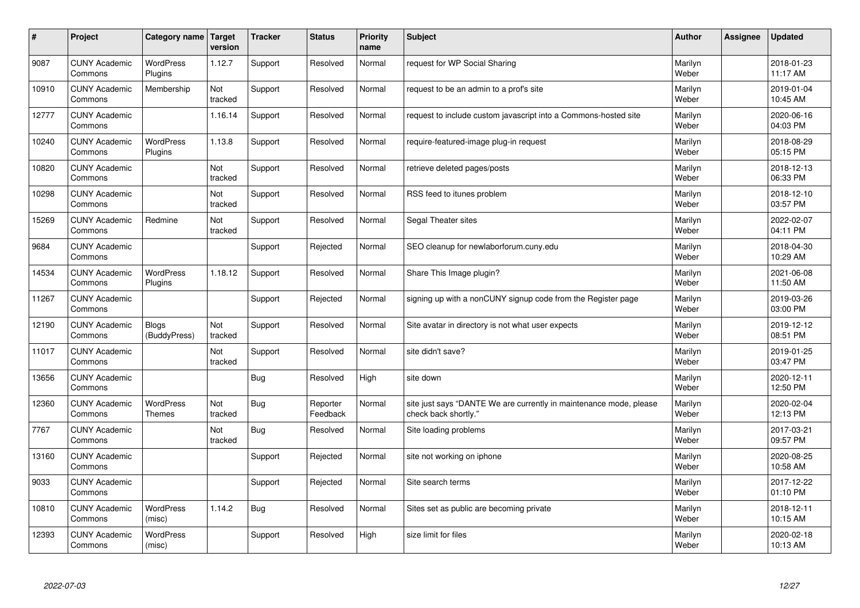| $\vert$ # | Project                         | Category name   Target       | version        | <b>Tracker</b> | <b>Status</b>        | <b>Priority</b><br>name | <b>Subject</b>                                                                             | <b>Author</b>    | Assignee | <b>Updated</b>         |
|-----------|---------------------------------|------------------------------|----------------|----------------|----------------------|-------------------------|--------------------------------------------------------------------------------------------|------------------|----------|------------------------|
| 9087      | <b>CUNY Academic</b><br>Commons | <b>WordPress</b><br>Plugins  | 1.12.7         | Support        | Resolved             | Normal                  | request for WP Social Sharing                                                              | Marilyn<br>Weber |          | 2018-01-23<br>11:17 AM |
| 10910     | <b>CUNY Academic</b><br>Commons | Membership                   | Not<br>tracked | Support        | Resolved             | Normal                  | request to be an admin to a prof's site                                                    | Marilyn<br>Weber |          | 2019-01-04<br>10:45 AM |
| 12777     | <b>CUNY Academic</b><br>Commons |                              | 1.16.14        | Support        | Resolved             | Normal                  | request to include custom javascript into a Commons-hosted site                            | Marilyn<br>Weber |          | 2020-06-16<br>04:03 PM |
| 10240     | <b>CUNY Academic</b><br>Commons | <b>WordPress</b><br>Plugins  | 1.13.8         | Support        | Resolved             | Normal                  | require-featured-image plug-in request                                                     | Marilyn<br>Weber |          | 2018-08-29<br>05:15 PM |
| 10820     | <b>CUNY Academic</b><br>Commons |                              | Not<br>tracked | Support        | Resolved             | Normal                  | retrieve deleted pages/posts                                                               | Marilyn<br>Weber |          | 2018-12-13<br>06:33 PM |
| 10298     | <b>CUNY Academic</b><br>Commons |                              | Not<br>tracked | Support        | Resolved             | Normal                  | RSS feed to itunes problem                                                                 | Marilyn<br>Weber |          | 2018-12-10<br>03:57 PM |
| 15269     | <b>CUNY Academic</b><br>Commons | Redmine                      | Not<br>tracked | Support        | Resolved             | Normal                  | Segal Theater sites                                                                        | Marilyn<br>Weber |          | 2022-02-07<br>04:11 PM |
| 9684      | <b>CUNY Academic</b><br>Commons |                              |                | Support        | Rejected             | Normal                  | SEO cleanup for newlaborforum.cuny.edu                                                     | Marilyn<br>Weber |          | 2018-04-30<br>10:29 AM |
| 14534     | <b>CUNY Academic</b><br>Commons | <b>WordPress</b><br>Plugins  | 1.18.12        | Support        | Resolved             | Normal                  | Share This Image plugin?                                                                   | Marilyn<br>Weber |          | 2021-06-08<br>11:50 AM |
| 11267     | <b>CUNY Academic</b><br>Commons |                              |                | Support        | Rejected             | Normal                  | signing up with a nonCUNY signup code from the Register page                               | Marilyn<br>Weber |          | 2019-03-26<br>03:00 PM |
| 12190     | <b>CUNY Academic</b><br>Commons | <b>Blogs</b><br>(BuddyPress) | Not<br>tracked | Support        | Resolved             | Normal                  | Site avatar in directory is not what user expects                                          | Marilyn<br>Weber |          | 2019-12-12<br>08:51 PM |
| 11017     | <b>CUNY Academic</b><br>Commons |                              | Not<br>tracked | Support        | Resolved             | Normal                  | site didn't save?                                                                          | Marilyn<br>Weber |          | 2019-01-25<br>03:47 PM |
| 13656     | <b>CUNY Academic</b><br>Commons |                              |                | Bug            | Resolved             | High                    | site down                                                                                  | Marilyn<br>Weber |          | 2020-12-11<br>12:50 PM |
| 12360     | <b>CUNY Academic</b><br>Commons | WordPress<br><b>Themes</b>   | Not<br>tracked | <b>Bug</b>     | Reporter<br>Feedback | Normal                  | site just says "DANTE We are currently in maintenance mode, please<br>check back shortly." | Marilyn<br>Weber |          | 2020-02-04<br>12:13 PM |
| 7767      | <b>CUNY Academic</b><br>Commons |                              | Not<br>tracked | Bug            | Resolved             | Normal                  | Site loading problems                                                                      | Marilyn<br>Weber |          | 2017-03-21<br>09:57 PM |
| 13160     | <b>CUNY Academic</b><br>Commons |                              |                | Support        | Rejected             | Normal                  | site not working on iphone                                                                 | Marilyn<br>Weber |          | 2020-08-25<br>10:58 AM |
| 9033      | <b>CUNY Academic</b><br>Commons |                              |                | Support        | Rejected             | Normal                  | Site search terms                                                                          | Marilyn<br>Weber |          | 2017-12-22<br>01:10 PM |
| 10810     | <b>CUNY Academic</b><br>Commons | WordPress<br>(misc)          | 1.14.2         | <b>Bug</b>     | Resolved             | Normal                  | Sites set as public are becoming private                                                   | Marilyn<br>Weber |          | 2018-12-11<br>10:15 AM |
| 12393     | <b>CUNY Academic</b><br>Commons | <b>WordPress</b><br>(misc)   |                | Support        | Resolved             | High                    | size limit for files                                                                       | Marilyn<br>Weber |          | 2020-02-18<br>10:13 AM |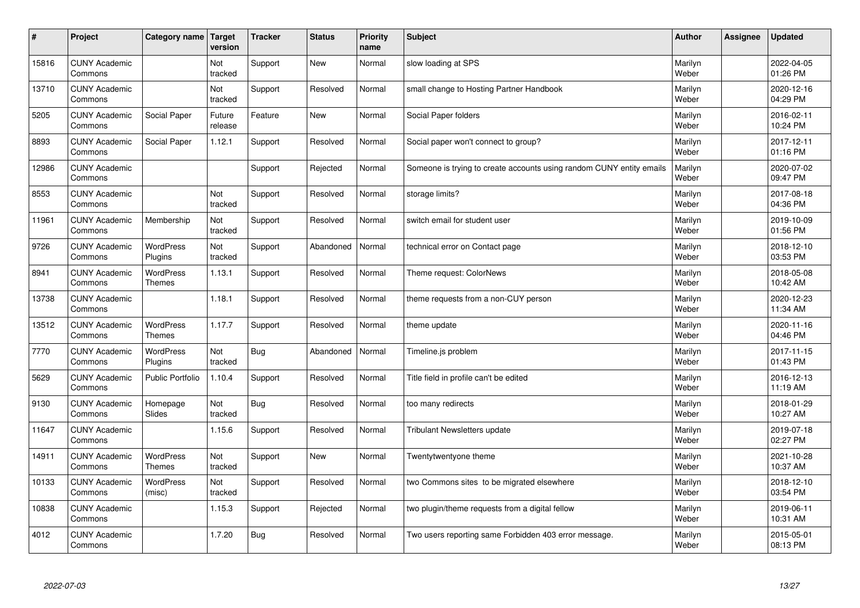| #     | Project                         | Category name   Target            | version           | <b>Tracker</b> | <b>Status</b> | <b>Priority</b><br>name | <b>Subject</b>                                                       | <b>Author</b>    | Assignee | <b>Updated</b>         |
|-------|---------------------------------|-----------------------------------|-------------------|----------------|---------------|-------------------------|----------------------------------------------------------------------|------------------|----------|------------------------|
| 15816 | <b>CUNY Academic</b><br>Commons |                                   | Not<br>tracked    | Support        | <b>New</b>    | Normal                  | slow loading at SPS                                                  | Marilyn<br>Weber |          | 2022-04-05<br>01:26 PM |
| 13710 | <b>CUNY Academic</b><br>Commons |                                   | Not<br>tracked    | Support        | Resolved      | Normal                  | small change to Hosting Partner Handbook                             | Marilyn<br>Weber |          | 2020-12-16<br>04:29 PM |
| 5205  | <b>CUNY Academic</b><br>Commons | Social Paper                      | Future<br>release | Feature        | <b>New</b>    | Normal                  | Social Paper folders                                                 | Marilyn<br>Weber |          | 2016-02-11<br>10:24 PM |
| 8893  | <b>CUNY Academic</b><br>Commons | Social Paper                      | 1.12.1            | Support        | Resolved      | Normal                  | Social paper won't connect to group?                                 | Marilyn<br>Weber |          | 2017-12-11<br>01:16 PM |
| 12986 | <b>CUNY Academic</b><br>Commons |                                   |                   | Support        | Rejected      | Normal                  | Someone is trying to create accounts using random CUNY entity emails | Marilyn<br>Weber |          | 2020-07-02<br>09:47 PM |
| 8553  | <b>CUNY Academic</b><br>Commons |                                   | Not<br>tracked    | Support        | Resolved      | Normal                  | storage limits?                                                      | Marilyn<br>Weber |          | 2017-08-18<br>04:36 PM |
| 11961 | <b>CUNY Academic</b><br>Commons | Membership                        | Not<br>tracked    | Support        | Resolved      | Normal                  | switch email for student user                                        | Marilyn<br>Weber |          | 2019-10-09<br>01:56 PM |
| 9726  | <b>CUNY Academic</b><br>Commons | WordPress<br>Plugins              | Not<br>tracked    | Support        | Abandoned     | Normal                  | technical error on Contact page                                      | Marilyn<br>Weber |          | 2018-12-10<br>03:53 PM |
| 8941  | <b>CUNY Academic</b><br>Commons | WordPress<br><b>Themes</b>        | 1.13.1            | Support        | Resolved      | Normal                  | Theme request: ColorNews                                             | Marilyn<br>Weber |          | 2018-05-08<br>10:42 AM |
| 13738 | <b>CUNY Academic</b><br>Commons |                                   | 1.18.1            | Support        | Resolved      | Normal                  | theme requests from a non-CUY person                                 | Marilyn<br>Weber |          | 2020-12-23<br>11:34 AM |
| 13512 | <b>CUNY Academic</b><br>Commons | <b>WordPress</b><br><b>Themes</b> | 1.17.7            | Support        | Resolved      | Normal                  | theme update                                                         | Marilyn<br>Weber |          | 2020-11-16<br>04:46 PM |
| 7770  | <b>CUNY Academic</b><br>Commons | WordPress<br>Plugins              | Not<br>tracked    | <b>Bug</b>     | Abandoned     | Normal                  | Timeline.js problem                                                  | Marilyn<br>Weber |          | 2017-11-15<br>01:43 PM |
| 5629  | <b>CUNY Academic</b><br>Commons | <b>Public Portfolio</b>           | 1.10.4            | Support        | Resolved      | Normal                  | Title field in profile can't be edited                               | Marilyn<br>Weber |          | 2016-12-13<br>11:19 AM |
| 9130  | <b>CUNY Academic</b><br>Commons | Homepage<br>Slides                | Not<br>tracked    | Bug            | Resolved      | Normal                  | too many redirects                                                   | Marilyn<br>Weber |          | 2018-01-29<br>10:27 AM |
| 11647 | <b>CUNY Academic</b><br>Commons |                                   | 1.15.6            | Support        | Resolved      | Normal                  | <b>Tribulant Newsletters update</b>                                  | Marilyn<br>Weber |          | 2019-07-18<br>02:27 PM |
| 14911 | <b>CUNY Academic</b><br>Commons | WordPress<br><b>Themes</b>        | Not<br>tracked    | Support        | <b>New</b>    | Normal                  | Twentytwentyone theme                                                | Marilyn<br>Weber |          | 2021-10-28<br>10:37 AM |
| 10133 | <b>CUNY Academic</b><br>Commons | WordPress<br>(misc)               | Not<br>tracked    | Support        | Resolved      | Normal                  | two Commons sites to be migrated elsewhere                           | Marilyn<br>Weber |          | 2018-12-10<br>03:54 PM |
| 10838 | <b>CUNY Academic</b><br>Commons |                                   | 1.15.3            | Support        | Rejected      | Normal                  | two plugin/theme requests from a digital fellow                      | Marilyn<br>Weber |          | 2019-06-11<br>10:31 AM |
| 4012  | <b>CUNY Academic</b><br>Commons |                                   | 1.7.20            | Bug            | Resolved      | Normal                  | Two users reporting same Forbidden 403 error message.                | Marilyn<br>Weber |          | 2015-05-01<br>08:13 PM |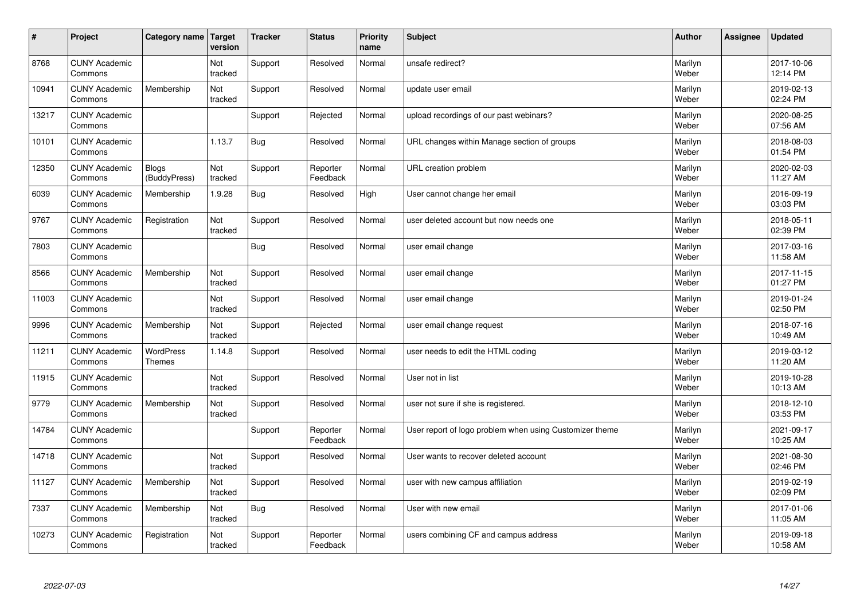| $\vert$ # | Project                         | Category name                     | Target<br>version | <b>Tracker</b> | <b>Status</b>        | <b>Priority</b><br>name | <b>Subject</b>                                          | <b>Author</b>    | <b>Assignee</b> | <b>Updated</b>         |
|-----------|---------------------------------|-----------------------------------|-------------------|----------------|----------------------|-------------------------|---------------------------------------------------------|------------------|-----------------|------------------------|
| 8768      | <b>CUNY Academic</b><br>Commons |                                   | Not<br>tracked    | Support        | Resolved             | Normal                  | unsafe redirect?                                        | Marilyn<br>Weber |                 | 2017-10-06<br>12:14 PM |
| 10941     | <b>CUNY Academic</b><br>Commons | Membership                        | Not<br>tracked    | Support        | Resolved             | Normal                  | update user email                                       | Marilyn<br>Weber |                 | 2019-02-13<br>02:24 PM |
| 13217     | <b>CUNY Academic</b><br>Commons |                                   |                   | Support        | Rejected             | Normal                  | upload recordings of our past webinars?                 | Marilyn<br>Weber |                 | 2020-08-25<br>07:56 AM |
| 10101     | <b>CUNY Academic</b><br>Commons |                                   | 1.13.7            | <b>Bug</b>     | Resolved             | Normal                  | URL changes within Manage section of groups             | Marilyn<br>Weber |                 | 2018-08-03<br>01:54 PM |
| 12350     | <b>CUNY Academic</b><br>Commons | <b>Blogs</b><br>(BuddyPress)      | Not<br>tracked    | Support        | Reporter<br>Feedback | Normal                  | URL creation problem                                    | Marilyn<br>Weber |                 | 2020-02-03<br>11:27 AM |
| 6039      | <b>CUNY Academic</b><br>Commons | Membership                        | 1.9.28            | <b>Bug</b>     | Resolved             | High                    | User cannot change her email                            | Marilyn<br>Weber |                 | 2016-09-19<br>03:03 PM |
| 9767      | <b>CUNY Academic</b><br>Commons | Registration                      | Not<br>tracked    | Support        | Resolved             | Normal                  | user deleted account but now needs one                  | Marilyn<br>Weber |                 | 2018-05-11<br>02:39 PM |
| 7803      | <b>CUNY Academic</b><br>Commons |                                   |                   | <b>Bug</b>     | Resolved             | Normal                  | user email change                                       | Marilyn<br>Weber |                 | 2017-03-16<br>11:58 AM |
| 8566      | <b>CUNY Academic</b><br>Commons | Membership                        | Not<br>tracked    | Support        | Resolved             | Normal                  | user email change                                       | Marilyn<br>Weber |                 | 2017-11-15<br>01:27 PM |
| 11003     | <b>CUNY Academic</b><br>Commons |                                   | Not<br>tracked    | Support        | Resolved             | Normal                  | user email change                                       | Marilyn<br>Weber |                 | 2019-01-24<br>02:50 PM |
| 9996      | <b>CUNY Academic</b><br>Commons | Membership                        | Not<br>tracked    | Support        | Rejected             | Normal                  | user email change request                               | Marilyn<br>Weber |                 | 2018-07-16<br>10:49 AM |
| 11211     | <b>CUNY Academic</b><br>Commons | <b>WordPress</b><br><b>Themes</b> | 1.14.8            | Support        | Resolved             | Normal                  | user needs to edit the HTML coding                      | Marilyn<br>Weber |                 | 2019-03-12<br>11:20 AM |
| 11915     | <b>CUNY Academic</b><br>Commons |                                   | Not<br>tracked    | Support        | Resolved             | Normal                  | User not in list                                        | Marilyn<br>Weber |                 | 2019-10-28<br>10:13 AM |
| 9779      | <b>CUNY Academic</b><br>Commons | Membership                        | Not<br>tracked    | Support        | Resolved             | Normal                  | user not sure if she is registered.                     | Marilyn<br>Weber |                 | 2018-12-10<br>03:53 PM |
| 14784     | <b>CUNY Academic</b><br>Commons |                                   |                   | Support        | Reporter<br>Feedback | Normal                  | User report of logo problem when using Customizer theme | Marilyn<br>Weber |                 | 2021-09-17<br>10:25 AM |
| 14718     | <b>CUNY Academic</b><br>Commons |                                   | Not<br>tracked    | Support        | Resolved             | Normal                  | User wants to recover deleted account                   | Marilyn<br>Weber |                 | 2021-08-30<br>02:46 PM |
| 11127     | <b>CUNY Academic</b><br>Commons | Membership                        | Not<br>tracked    | Support        | Resolved             | Normal                  | user with new campus affiliation                        | Marilyn<br>Weber |                 | 2019-02-19<br>02:09 PM |
| 7337      | <b>CUNY Academic</b><br>Commons | Membership                        | Not<br>tracked    | <b>Bug</b>     | Resolved             | Normal                  | User with new email                                     | Marilyn<br>Weber |                 | 2017-01-06<br>11:05 AM |
| 10273     | <b>CUNY Academic</b><br>Commons | Registration                      | Not<br>tracked    | Support        | Reporter<br>Feedback | Normal                  | users combining CF and campus address                   | Marilyn<br>Weber |                 | 2019-09-18<br>10:58 AM |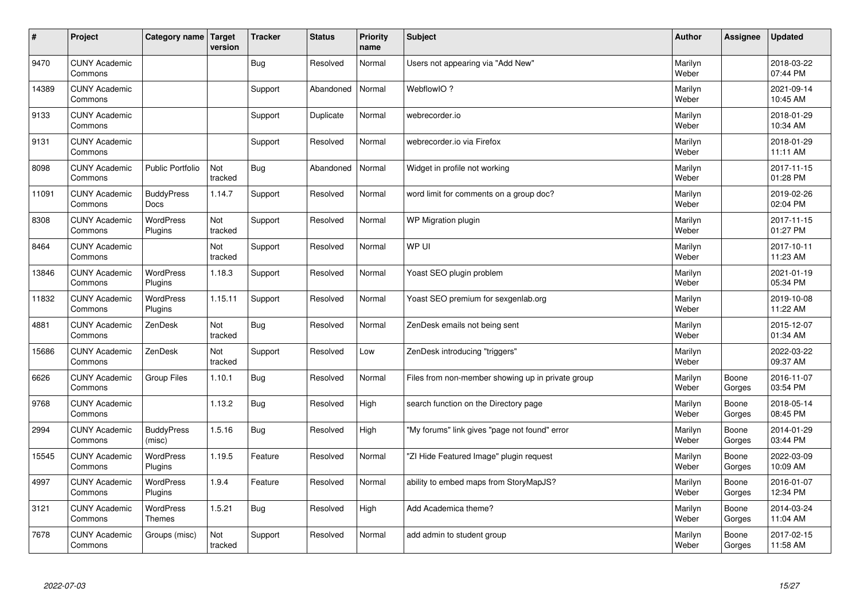| #     | Project                         | Category name   Target      | version        | <b>Tracker</b> | <b>Status</b> | <b>Priority</b><br>name | <b>Subject</b>                                    | <b>Author</b>    | Assignee        | <b>Updated</b>         |
|-------|---------------------------------|-----------------------------|----------------|----------------|---------------|-------------------------|---------------------------------------------------|------------------|-----------------|------------------------|
| 9470  | <b>CUNY Academic</b><br>Commons |                             |                | <b>Bug</b>     | Resolved      | Normal                  | Users not appearing via "Add New"                 | Marilyn<br>Weber |                 | 2018-03-22<br>07:44 PM |
| 14389 | <b>CUNY Academic</b><br>Commons |                             |                | Support        | Abandoned     | Normal                  | WebflowIO?                                        | Marilyn<br>Weber |                 | 2021-09-14<br>10:45 AM |
| 9133  | <b>CUNY Academic</b><br>Commons |                             |                | Support        | Duplicate     | Normal                  | webrecorder.io                                    | Marilyn<br>Weber |                 | 2018-01-29<br>10:34 AM |
| 9131  | <b>CUNY Academic</b><br>Commons |                             |                | Support        | Resolved      | Normal                  | webrecorder.io via Firefox                        | Marilyn<br>Weber |                 | 2018-01-29<br>11:11 AM |
| 8098  | <b>CUNY Academic</b><br>Commons | <b>Public Portfolio</b>     | Not<br>tracked | <b>Bug</b>     | Abandoned     | Normal                  | Widget in profile not working                     | Marilyn<br>Weber |                 | 2017-11-15<br>01:28 PM |
| 11091 | <b>CUNY Academic</b><br>Commons | <b>BuddyPress</b><br>Docs   | 1.14.7         | Support        | Resolved      | Normal                  | word limit for comments on a group doc?           | Marilyn<br>Weber |                 | 2019-02-26<br>02:04 PM |
| 8308  | <b>CUNY Academic</b><br>Commons | WordPress<br>Plugins        | Not<br>tracked | Support        | Resolved      | Normal                  | WP Migration plugin                               | Marilyn<br>Weber |                 | 2017-11-15<br>01:27 PM |
| 8464  | <b>CUNY Academic</b><br>Commons |                             | Not<br>tracked | Support        | Resolved      | Normal                  | WP UI                                             | Marilyn<br>Weber |                 | 2017-10-11<br>11:23 AM |
| 13846 | <b>CUNY Academic</b><br>Commons | <b>WordPress</b><br>Plugins | 1.18.3         | Support        | Resolved      | Normal                  | Yoast SEO plugin problem                          | Marilyn<br>Weber |                 | 2021-01-19<br>05:34 PM |
| 11832 | <b>CUNY Academic</b><br>Commons | WordPress<br>Plugins        | 1.15.11        | Support        | Resolved      | Normal                  | Yoast SEO premium for sexgenlab.org               | Marilyn<br>Weber |                 | 2019-10-08<br>11:22 AM |
| 4881  | <b>CUNY Academic</b><br>Commons | ZenDesk                     | Not<br>tracked | Bug            | Resolved      | Normal                  | ZenDesk emails not being sent                     | Marilyn<br>Weber |                 | 2015-12-07<br>01:34 AM |
| 15686 | <b>CUNY Academic</b><br>Commons | ZenDesk                     | Not<br>tracked | Support        | Resolved      | Low                     | ZenDesk introducing "triggers"                    | Marilyn<br>Weber |                 | 2022-03-22<br>09:37 AM |
| 6626  | <b>CUNY Academic</b><br>Commons | <b>Group Files</b>          | 1.10.1         | Bug            | Resolved      | Normal                  | Files from non-member showing up in private group | Marilyn<br>Weber | Boone<br>Gorges | 2016-11-07<br>03:54 PM |
| 9768  | <b>CUNY Academic</b><br>Commons |                             | 1.13.2         | <b>Bug</b>     | Resolved      | High                    | search function on the Directory page             | Marilyn<br>Weber | Boone<br>Gorges | 2018-05-14<br>08:45 PM |
| 2994  | <b>CUNY Academic</b><br>Commons | <b>BuddyPress</b><br>(misc) | 1.5.16         | <b>Bug</b>     | Resolved      | High                    | "My forums" link gives "page not found" error     | Marilyn<br>Weber | Boone<br>Gorges | 2014-01-29<br>03:44 PM |
| 15545 | <b>CUNY Academic</b><br>Commons | WordPress<br>Plugins        | 1.19.5         | Feature        | Resolved      | Normal                  | "ZI Hide Featured Image" plugin request           | Marilyn<br>Weber | Boone<br>Gorges | 2022-03-09<br>10:09 AM |
| 4997  | <b>CUNY Academic</b><br>Commons | WordPress<br>Plugins        | 1.9.4          | Feature        | Resolved      | Normal                  | ability to embed maps from StoryMapJS?            | Marilyn<br>Weber | Boone<br>Gorges | 2016-01-07<br>12:34 PM |
| 3121  | <b>CUNY Academic</b><br>Commons | WordPress<br><b>Themes</b>  | 1.5.21         | <b>Bug</b>     | Resolved      | High                    | Add Academica theme?                              | Marilyn<br>Weber | Boone<br>Gorges | 2014-03-24<br>11:04 AM |
| 7678  | <b>CUNY Academic</b><br>Commons | Groups (misc)               | Not<br>tracked | Support        | Resolved      | Normal                  | add admin to student group                        | Marilyn<br>Weber | Boone<br>Gorges | 2017-02-15<br>11:58 AM |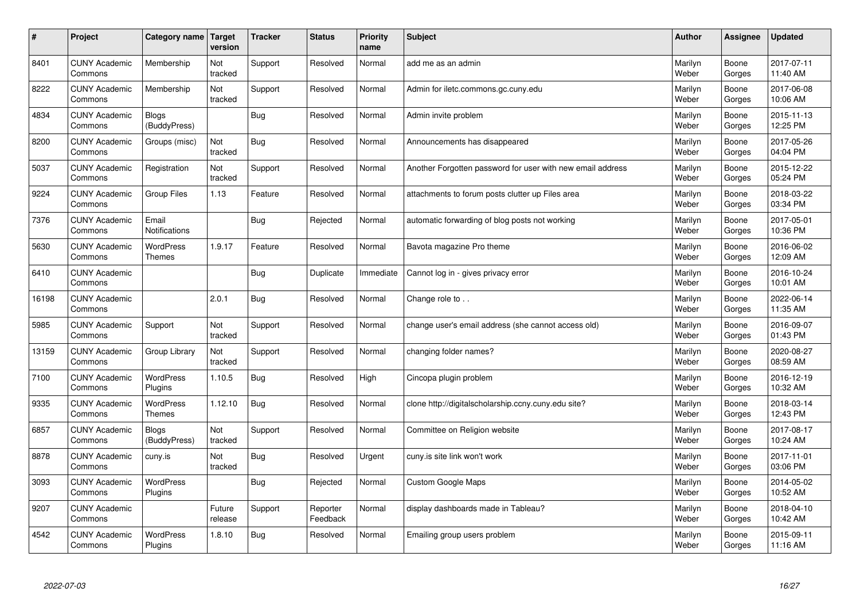| $\sharp$ | Project                         | Category name                     | Target<br>version | <b>Tracker</b> | <b>Status</b>        | <b>Priority</b><br>name | <b>Subject</b>                                             | <b>Author</b>    | Assignee        | <b>Updated</b>         |
|----------|---------------------------------|-----------------------------------|-------------------|----------------|----------------------|-------------------------|------------------------------------------------------------|------------------|-----------------|------------------------|
| 8401     | <b>CUNY Academic</b><br>Commons | Membership                        | Not<br>tracked    | Support        | Resolved             | Normal                  | add me as an admin                                         | Marilyn<br>Weber | Boone<br>Gorges | 2017-07-11<br>11:40 AM |
| 8222     | <b>CUNY Academic</b><br>Commons | Membership                        | Not<br>tracked    | Support        | Resolved             | Normal                  | Admin for iletc.commons.gc.cuny.edu                        | Marilyn<br>Weber | Boone<br>Gorges | 2017-06-08<br>10:06 AM |
| 4834     | <b>CUNY Academic</b><br>Commons | <b>Blogs</b><br>(BuddyPress)      |                   | Bug            | Resolved             | Normal                  | Admin invite problem                                       | Marilyn<br>Weber | Boone<br>Gorges | 2015-11-13<br>12:25 PM |
| 8200     | <b>CUNY Academic</b><br>Commons | Groups (misc)                     | Not<br>tracked    | Bug            | Resolved             | Normal                  | Announcements has disappeared                              | Marilyn<br>Weber | Boone<br>Gorges | 2017-05-26<br>04:04 PM |
| 5037     | <b>CUNY Academic</b><br>Commons | Registration                      | Not<br>tracked    | Support        | Resolved             | Normal                  | Another Forgotten password for user with new email address | Marilyn<br>Weber | Boone<br>Gorges | 2015-12-22<br>05:24 PM |
| 9224     | <b>CUNY Academic</b><br>Commons | Group Files                       | 1.13              | Feature        | Resolved             | Normal                  | attachments to forum posts clutter up Files area           | Marilyn<br>Weber | Boone<br>Gorges | 2018-03-22<br>03:34 PM |
| 7376     | <b>CUNY Academic</b><br>Commons | Email<br><b>Notifications</b>     |                   | Bug            | Rejected             | Normal                  | automatic forwarding of blog posts not working             | Marilyn<br>Weber | Boone<br>Gorges | 2017-05-01<br>10:36 PM |
| 5630     | <b>CUNY Academic</b><br>Commons | <b>WordPress</b><br><b>Themes</b> | 1.9.17            | Feature        | Resolved             | Normal                  | Bavota magazine Pro theme                                  | Marilyn<br>Weber | Boone<br>Gorges | 2016-06-02<br>12:09 AM |
| 6410     | <b>CUNY Academic</b><br>Commons |                                   |                   | Bug            | Duplicate            | Immediate               | Cannot log in - gives privacy error                        | Marilyn<br>Weber | Boone<br>Gorges | 2016-10-24<br>10:01 AM |
| 16198    | <b>CUNY Academic</b><br>Commons |                                   | 2.0.1             | Bug            | Resolved             | Normal                  | Change role to                                             | Marilyn<br>Weber | Boone<br>Gorges | 2022-06-14<br>11:35 AM |
| 5985     | <b>CUNY Academic</b><br>Commons | Support                           | Not<br>tracked    | Support        | Resolved             | Normal                  | change user's email address (she cannot access old)        | Marilyn<br>Weber | Boone<br>Gorges | 2016-09-07<br>01:43 PM |
| 13159    | <b>CUNY Academic</b><br>Commons | Group Library                     | Not<br>tracked    | Support        | Resolved             | Normal                  | changing folder names?                                     | Marilyn<br>Weber | Boone<br>Gorges | 2020-08-27<br>08:59 AM |
| 7100     | <b>CUNY Academic</b><br>Commons | WordPress<br>Plugins              | 1.10.5            | <b>Bug</b>     | Resolved             | High                    | Cincopa plugin problem                                     | Marilyn<br>Weber | Boone<br>Gorges | 2016-12-19<br>10:32 AM |
| 9335     | <b>CUNY Academic</b><br>Commons | <b>WordPress</b><br><b>Themes</b> | 1.12.10           | Bug            | Resolved             | Normal                  | clone http://digitalscholarship.ccny.cuny.edu site?        | Marilyn<br>Weber | Boone<br>Gorges | 2018-03-14<br>12:43 PM |
| 6857     | <b>CUNY Academic</b><br>Commons | <b>Blogs</b><br>(BuddyPress)      | Not<br>tracked    | Support        | Resolved             | Normal                  | Committee on Religion website                              | Marilyn<br>Weber | Boone<br>Gorges | 2017-08-17<br>10:24 AM |
| 8878     | <b>CUNY Academic</b><br>Commons | cuny.is                           | Not<br>tracked    | Bug            | Resolved             | Urgent                  | cuny.is site link won't work                               | Marilyn<br>Weber | Boone<br>Gorges | 2017-11-01<br>03:06 PM |
| 3093     | <b>CUNY Academic</b><br>Commons | WordPress<br>Plugins              |                   | Bug            | Rejected             | Normal                  | <b>Custom Google Maps</b>                                  | Marilyn<br>Weber | Boone<br>Gorges | 2014-05-02<br>10:52 AM |
| 9207     | <b>CUNY Academic</b><br>Commons |                                   | Future<br>release | Support        | Reporter<br>Feedback | Normal                  | display dashboards made in Tableau?                        | Marilyn<br>Weber | Boone<br>Gorges | 2018-04-10<br>10:42 AM |
| 4542     | <b>CUNY Academic</b><br>Commons | <b>WordPress</b><br>Plugins       | 1.8.10            | Bug            | Resolved             | Normal                  | Emailing group users problem                               | Marilyn<br>Weber | Boone<br>Gorges | 2015-09-11<br>11:16 AM |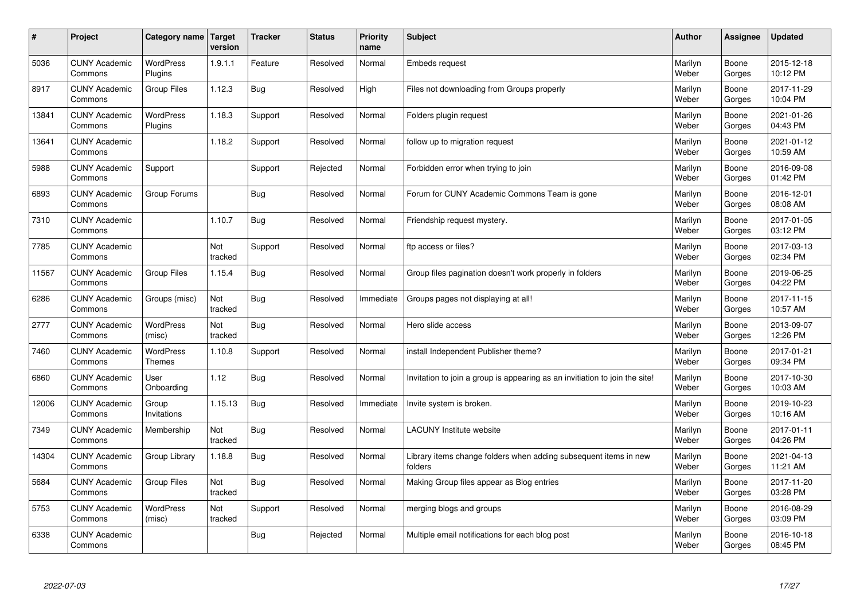| $\vert$ # | Project                         | Category name               | Target<br>version | <b>Tracker</b> | <b>Status</b> | <b>Priority</b><br>name | <b>Subject</b>                                                              | <b>Author</b>    | <b>Assignee</b> | <b>Updated</b>         |
|-----------|---------------------------------|-----------------------------|-------------------|----------------|---------------|-------------------------|-----------------------------------------------------------------------------|------------------|-----------------|------------------------|
| 5036      | <b>CUNY Academic</b><br>Commons | <b>WordPress</b><br>Plugins | 1.9.1.1           | Feature        | Resolved      | Normal                  | <b>Embeds request</b>                                                       | Marilyn<br>Weber | Boone<br>Gorges | 2015-12-18<br>10:12 PM |
| 8917      | <b>CUNY Academic</b><br>Commons | <b>Group Files</b>          | 1.12.3            | <b>Bug</b>     | Resolved      | High                    | Files not downloading from Groups properly                                  | Marilyn<br>Weber | Boone<br>Gorges | 2017-11-29<br>10:04 PM |
| 13841     | <b>CUNY Academic</b><br>Commons | WordPress<br>Plugins        | 1.18.3            | Support        | Resolved      | Normal                  | Folders plugin request                                                      | Marilyn<br>Weber | Boone<br>Gorges | 2021-01-26<br>04:43 PM |
| 13641     | <b>CUNY Academic</b><br>Commons |                             | 1.18.2            | Support        | Resolved      | Normal                  | follow up to migration request                                              | Marilyn<br>Weber | Boone<br>Gorges | 2021-01-12<br>10:59 AM |
| 5988      | <b>CUNY Academic</b><br>Commons | Support                     |                   | Support        | Rejected      | Normal                  | Forbidden error when trying to join                                         | Marilyn<br>Weber | Boone<br>Gorges | 2016-09-08<br>01:42 PM |
| 6893      | <b>CUNY Academic</b><br>Commons | Group Forums                |                   | Bug            | Resolved      | Normal                  | Forum for CUNY Academic Commons Team is gone                                | Marilyn<br>Weber | Boone<br>Gorges | 2016-12-01<br>08:08 AM |
| 7310      | <b>CUNY Academic</b><br>Commons |                             | 1.10.7            | Bug            | Resolved      | Normal                  | Friendship request mystery.                                                 | Marilyn<br>Weber | Boone<br>Gorges | 2017-01-05<br>03:12 PM |
| 7785      | <b>CUNY Academic</b><br>Commons |                             | Not<br>tracked    | Support        | Resolved      | Normal                  | ftp access or files?                                                        | Marilyn<br>Weber | Boone<br>Gorges | 2017-03-13<br>02:34 PM |
| 11567     | <b>CUNY Academic</b><br>Commons | Group Files                 | 1.15.4            | Bug            | Resolved      | Normal                  | Group files pagination doesn't work properly in folders                     | Marilyn<br>Weber | Boone<br>Gorges | 2019-06-25<br>04:22 PM |
| 6286      | <b>CUNY Academic</b><br>Commons | Groups (misc)               | Not<br>tracked    | <b>Bug</b>     | Resolved      | Immediate               | Groups pages not displaying at all!                                         | Marilyn<br>Weber | Boone<br>Gorges | 2017-11-15<br>10:57 AM |
| 2777      | <b>CUNY Academic</b><br>Commons | WordPress<br>(misc)         | Not<br>tracked    | <b>Bug</b>     | Resolved      | Normal                  | Hero slide access                                                           | Marilyn<br>Weber | Boone<br>Gorges | 2013-09-07<br>12:26 PM |
| 7460      | <b>CUNY Academic</b><br>Commons | WordPress<br>Themes         | 1.10.8            | Support        | Resolved      | Normal                  | install Independent Publisher theme?                                        | Marilyn<br>Weber | Boone<br>Gorges | 2017-01-21<br>09:34 PM |
| 6860      | <b>CUNY Academic</b><br>Commons | User<br>Onboarding          | 1.12              | Bug            | Resolved      | Normal                  | Invitation to join a group is appearing as an invitiation to join the site! | Marilyn<br>Weber | Boone<br>Gorges | 2017-10-30<br>10:03 AM |
| 12006     | <b>CUNY Academic</b><br>Commons | Group<br>Invitations        | 1.15.13           | <b>Bug</b>     | Resolved      | Immediate               | Invite system is broken.                                                    | Marilyn<br>Weber | Boone<br>Gorges | 2019-10-23<br>10:16 AM |
| 7349      | <b>CUNY Academic</b><br>Commons | Membership                  | Not<br>tracked    | <b>Bug</b>     | Resolved      | Normal                  | <b>LACUNY</b> Institute website                                             | Marilyn<br>Weber | Boone<br>Gorges | 2017-01-11<br>04:26 PM |
| 14304     | <b>CUNY Academic</b><br>Commons | Group Library               | 1.18.8            | Bug            | Resolved      | Normal                  | Library items change folders when adding subsequent items in new<br>folders | Marilyn<br>Weber | Boone<br>Gorges | 2021-04-13<br>11:21 AM |
| 5684      | <b>CUNY Academic</b><br>Commons | <b>Group Files</b>          | Not<br>tracked    | <b>Bug</b>     | Resolved      | Normal                  | Making Group files appear as Blog entries                                   | Marilyn<br>Weber | Boone<br>Gorges | 2017-11-20<br>03:28 PM |
| 5753      | <b>CUNY Academic</b><br>Commons | WordPress<br>(misc)         | Not<br>tracked    | Support        | Resolved      | Normal                  | merging blogs and groups                                                    | Marilyn<br>Weber | Boone<br>Gorges | 2016-08-29<br>03:09 PM |
| 6338      | <b>CUNY Academic</b><br>Commons |                             |                   | Bug            | Rejected      | Normal                  | Multiple email notifications for each blog post                             | Marilyn<br>Weber | Boone<br>Gorges | 2016-10-18<br>08:45 PM |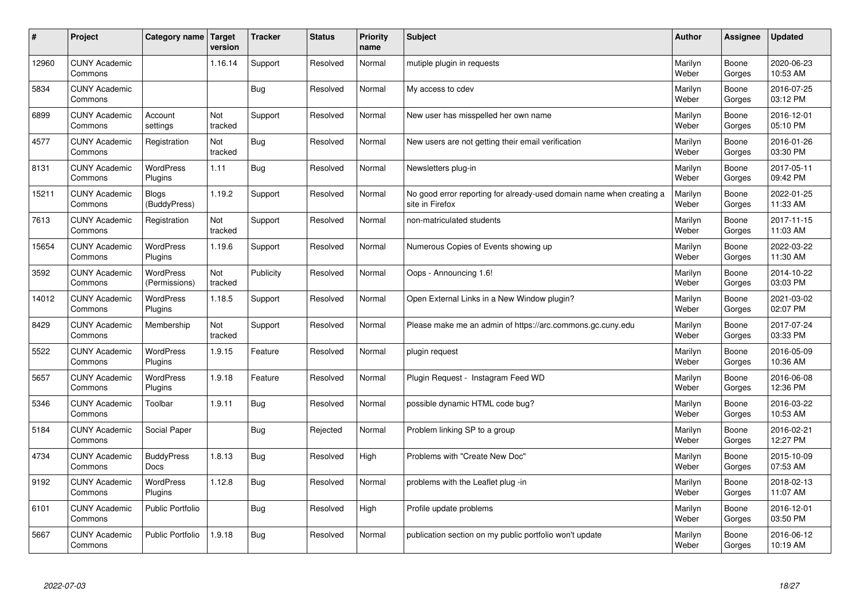| #     | Project                         | Category name   Target           | version        | <b>Tracker</b> | <b>Status</b> | <b>Priority</b><br>name | <b>Subject</b>                                                                          | <b>Author</b>    | Assignee        | <b>Updated</b>         |
|-------|---------------------------------|----------------------------------|----------------|----------------|---------------|-------------------------|-----------------------------------------------------------------------------------------|------------------|-----------------|------------------------|
| 12960 | <b>CUNY Academic</b><br>Commons |                                  | 1.16.14        | Support        | Resolved      | Normal                  | mutiple plugin in requests                                                              | Marilyn<br>Weber | Boone<br>Gorges | 2020-06-23<br>10:53 AM |
| 5834  | <b>CUNY Academic</b><br>Commons |                                  |                | Bug            | Resolved      | Normal                  | My access to cdev                                                                       | Marilyn<br>Weber | Boone<br>Gorges | 2016-07-25<br>03:12 PM |
| 6899  | <b>CUNY Academic</b><br>Commons | Account<br>settings              | Not<br>tracked | Support        | Resolved      | Normal                  | New user has misspelled her own name                                                    | Marilyn<br>Weber | Boone<br>Gorges | 2016-12-01<br>05:10 PM |
| 4577  | <b>CUNY Academic</b><br>Commons | Registration                     | Not<br>tracked | Bug            | Resolved      | Normal                  | New users are not getting their email verification                                      | Marilyn<br>Weber | Boone<br>Gorges | 2016-01-26<br>03:30 PM |
| 8131  | <b>CUNY Academic</b><br>Commons | <b>WordPress</b><br>Plugins      | 1.11           | Bug            | Resolved      | Normal                  | Newsletters plug-in                                                                     | Marilyn<br>Weber | Boone<br>Gorges | 2017-05-11<br>09:42 PM |
| 15211 | <b>CUNY Academic</b><br>Commons | <b>Blogs</b><br>(BuddyPress)     | 1.19.2         | Support        | Resolved      | Normal                  | No good error reporting for already-used domain name when creating a<br>site in Firefox | Marilyn<br>Weber | Boone<br>Gorges | 2022-01-25<br>11:33 AM |
| 7613  | <b>CUNY Academic</b><br>Commons | Registration                     | Not<br>tracked | Support        | Resolved      | Normal                  | non-matriculated students                                                               | Marilyn<br>Weber | Boone<br>Gorges | 2017-11-15<br>11:03 AM |
| 15654 | <b>CUNY Academic</b><br>Commons | <b>WordPress</b><br>Plugins      | 1.19.6         | Support        | Resolved      | Normal                  | Numerous Copies of Events showing up                                                    | Marilyn<br>Weber | Boone<br>Gorges | 2022-03-22<br>11:30 AM |
| 3592  | <b>CUNY Academic</b><br>Commons | WordPress<br>(Permissions)       | Not<br>tracked | Publicity      | Resolved      | Normal                  | Oops - Announcing 1.6!                                                                  | Marilyn<br>Weber | Boone<br>Gorges | 2014-10-22<br>03:03 PM |
| 14012 | <b>CUNY Academic</b><br>Commons | WordPress<br>Plugins             | 1.18.5         | Support        | Resolved      | Normal                  | Open External Links in a New Window plugin?                                             | Marilyn<br>Weber | Boone<br>Gorges | 2021-03-02<br>02:07 PM |
| 8429  | <b>CUNY Academic</b><br>Commons | Membership                       | Not<br>tracked | Support        | Resolved      | Normal                  | Please make me an admin of https://arc.commons.gc.cuny.edu                              | Marilyn<br>Weber | Boone<br>Gorges | 2017-07-24<br>03:33 PM |
| 5522  | <b>CUNY Academic</b><br>Commons | <b>WordPress</b><br>Plugins      | 1.9.15         | Feature        | Resolved      | Normal                  | plugin request                                                                          | Marilyn<br>Weber | Boone<br>Gorges | 2016-05-09<br>10:36 AM |
| 5657  | <b>CUNY Academic</b><br>Commons | WordPress<br>Plugins             | 1.9.18         | Feature        | Resolved      | Normal                  | Plugin Request - Instagram Feed WD                                                      | Marilyn<br>Weber | Boone<br>Gorges | 2016-06-08<br>12:36 PM |
| 5346  | <b>CUNY Academic</b><br>Commons | Toolbar                          | 1.9.11         | Bug            | Resolved      | Normal                  | possible dynamic HTML code bug?                                                         | Marilyn<br>Weber | Boone<br>Gorges | 2016-03-22<br>10:53 AM |
| 5184  | <b>CUNY Academic</b><br>Commons | Social Paper                     |                | Bug            | Rejected      | Normal                  | Problem linking SP to a group                                                           | Marilyn<br>Weber | Boone<br>Gorges | 2016-02-21<br>12:27 PM |
| 4734  | <b>CUNY Academic</b><br>Commons | <b>BuddyPress</b><br><b>Docs</b> | 1.8.13         | Bug            | Resolved      | High                    | Problems with "Create New Doc"                                                          | Marilyn<br>Weber | Boone<br>Gorges | 2015-10-09<br>07:53 AM |
| 9192  | <b>CUNY Academic</b><br>Commons | WordPress<br>Plugins             | 1.12.8         | Bug            | Resolved      | Normal                  | problems with the Leaflet plug -in                                                      | Marilyn<br>Weber | Boone<br>Gorges | 2018-02-13<br>11:07 AM |
| 6101  | <b>CUNY Academic</b><br>Commons | Public Portfolio                 |                | Bug            | Resolved      | High                    | Profile update problems                                                                 | Marilyn<br>Weber | Boone<br>Gorges | 2016-12-01<br>03:50 PM |
| 5667  | <b>CUNY Academic</b><br>Commons | <b>Public Portfolio</b>          | 1.9.18         | Bug            | Resolved      | Normal                  | publication section on my public portfolio won't update                                 | Marilyn<br>Weber | Boone<br>Gorges | 2016-06-12<br>10:19 AM |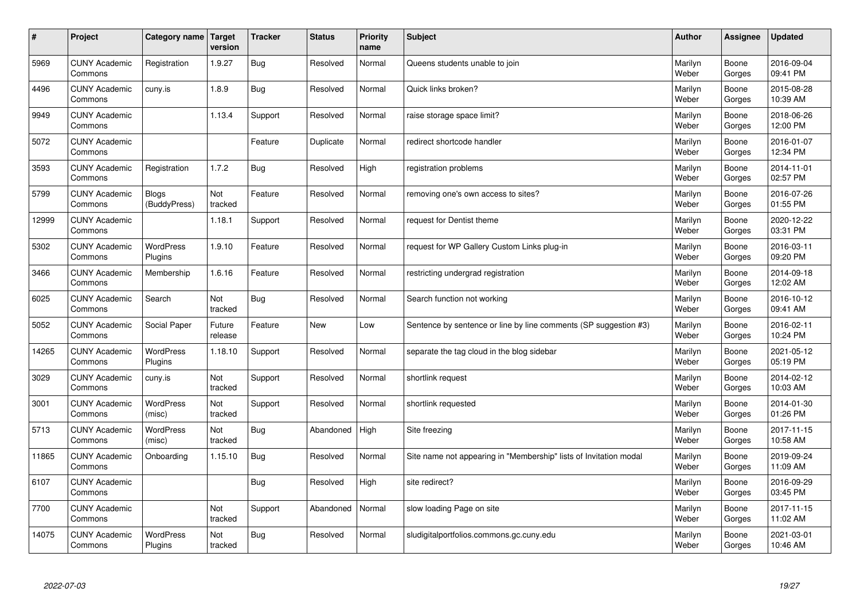| #     | Project                         | Category name   Target       | version           | <b>Tracker</b> | <b>Status</b> | <b>Priority</b><br>name | <b>Subject</b>                                                    | <b>Author</b>    | Assignee        | <b>Updated</b>         |
|-------|---------------------------------|------------------------------|-------------------|----------------|---------------|-------------------------|-------------------------------------------------------------------|------------------|-----------------|------------------------|
| 5969  | <b>CUNY Academic</b><br>Commons | Registration                 | 1.9.27            | Bug            | Resolved      | Normal                  | Queens students unable to join                                    | Marilyn<br>Weber | Boone<br>Gorges | 2016-09-04<br>09:41 PM |
| 4496  | <b>CUNY Academic</b><br>Commons | cuny.is                      | 1.8.9             | Bug            | Resolved      | Normal                  | Quick links broken?                                               | Marilyn<br>Weber | Boone<br>Gorges | 2015-08-28<br>10:39 AM |
| 9949  | <b>CUNY Academic</b><br>Commons |                              | 1.13.4            | Support        | Resolved      | Normal                  | raise storage space limit?                                        | Marilyn<br>Weber | Boone<br>Gorges | 2018-06-26<br>12:00 PM |
| 5072  | <b>CUNY Academic</b><br>Commons |                              |                   | Feature        | Duplicate     | Normal                  | redirect shortcode handler                                        | Marilyn<br>Weber | Boone<br>Gorges | 2016-01-07<br>12:34 PM |
| 3593  | <b>CUNY Academic</b><br>Commons | Registration                 | 1.7.2             | Bug            | Resolved      | High                    | registration problems                                             | Marilyn<br>Weber | Boone<br>Gorges | 2014-11-01<br>02:57 PM |
| 5799  | <b>CUNY Academic</b><br>Commons | <b>Blogs</b><br>(BuddyPress) | Not<br>tracked    | Feature        | Resolved      | Normal                  | removing one's own access to sites?                               | Marilyn<br>Weber | Boone<br>Gorges | 2016-07-26<br>01:55 PM |
| 12999 | <b>CUNY Academic</b><br>Commons |                              | 1.18.1            | Support        | Resolved      | Normal                  | request for Dentist theme                                         | Marilyn<br>Weber | Boone<br>Gorges | 2020-12-22<br>03:31 PM |
| 5302  | <b>CUNY Academic</b><br>Commons | <b>WordPress</b><br>Plugins  | 1.9.10            | Feature        | Resolved      | Normal                  | request for WP Gallery Custom Links plug-in                       | Marilyn<br>Weber | Boone<br>Gorges | 2016-03-11<br>09:20 PM |
| 3466  | <b>CUNY Academic</b><br>Commons | Membership                   | 1.6.16            | Feature        | Resolved      | Normal                  | restricting undergrad registration                                | Marilyn<br>Weber | Boone<br>Gorges | 2014-09-18<br>12:02 AM |
| 6025  | <b>CUNY Academic</b><br>Commons | Search                       | Not<br>tracked    | Bug            | Resolved      | Normal                  | Search function not working                                       | Marilyn<br>Weber | Boone<br>Gorges | 2016-10-12<br>09:41 AM |
| 5052  | <b>CUNY Academic</b><br>Commons | Social Paper                 | Future<br>release | Feature        | New           | Low                     | Sentence by sentence or line by line comments (SP suggestion #3)  | Marilyn<br>Weber | Boone<br>Gorges | 2016-02-11<br>10:24 PM |
| 14265 | <b>CUNY Academic</b><br>Commons | <b>WordPress</b><br>Plugins  | 1.18.10           | Support        | Resolved      | Normal                  | separate the tag cloud in the blog sidebar                        | Marilyn<br>Weber | Boone<br>Gorges | 2021-05-12<br>05:19 PM |
| 3029  | <b>CUNY Academic</b><br>Commons | cuny.is                      | Not<br>tracked    | Support        | Resolved      | Normal                  | shortlink request                                                 | Marilyn<br>Weber | Boone<br>Gorges | 2014-02-12<br>10:03 AM |
| 3001  | <b>CUNY Academic</b><br>Commons | WordPress<br>(misc)          | Not<br>tracked    | Support        | Resolved      | Normal                  | shortlink requested                                               | Marilyn<br>Weber | Boone<br>Gorges | 2014-01-30<br>01:26 PM |
| 5713  | <b>CUNY Academic</b><br>Commons | <b>WordPress</b><br>(misc)   | Not<br>tracked    | <b>Bug</b>     | Abandoned     | High                    | Site freezing                                                     | Marilyn<br>Weber | Boone<br>Gorges | 2017-11-15<br>10:58 AM |
| 11865 | <b>CUNY Academic</b><br>Commons | Onboarding                   | 1.15.10           | Bug            | Resolved      | Normal                  | Site name not appearing in "Membership" lists of Invitation modal | Marilyn<br>Weber | Boone<br>Gorges | 2019-09-24<br>11:09 AM |
| 6107  | <b>CUNY Academic</b><br>Commons |                              |                   | Bug            | Resolved      | High                    | site redirect?                                                    | Marilyn<br>Weber | Boone<br>Gorges | 2016-09-29<br>03:45 PM |
| 7700  | <b>CUNY Academic</b><br>Commons |                              | Not<br>tracked    | Support        | Abandoned     | Normal                  | slow loading Page on site                                         | Marilyn<br>Weber | Boone<br>Gorges | 2017-11-15<br>11:02 AM |
| 14075 | <b>CUNY Academic</b><br>Commons | <b>WordPress</b><br>Plugins  | Not<br>tracked    | Bug            | Resolved      | Normal                  | sludigitalportfolios.commons.gc.cuny.edu                          | Marilyn<br>Weber | Boone<br>Gorges | 2021-03-01<br>10:46 AM |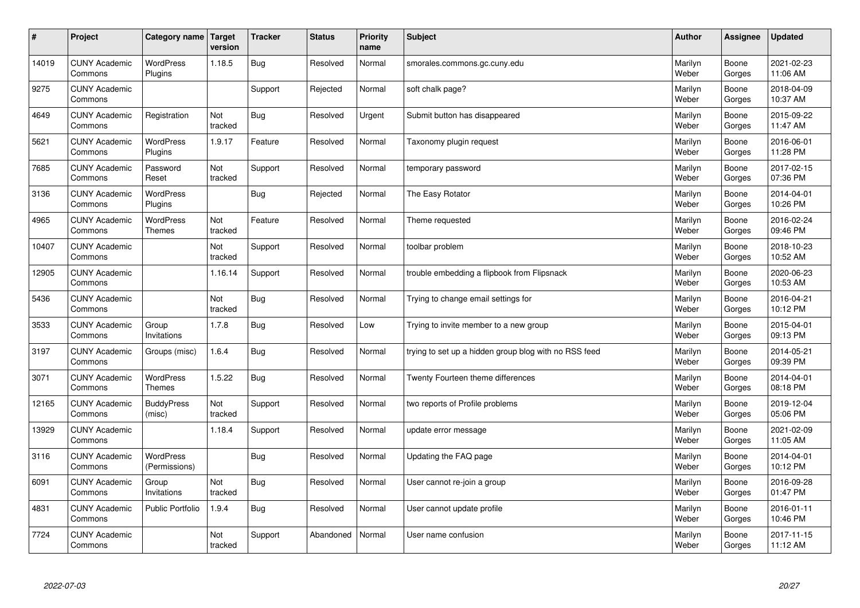| $\sharp$ | Project                         | Category name   Target            | version        | <b>Tracker</b> | <b>Status</b> | <b>Priority</b><br>name | <b>Subject</b>                                        | <b>Author</b>    | Assignee        | <b>Updated</b>         |
|----------|---------------------------------|-----------------------------------|----------------|----------------|---------------|-------------------------|-------------------------------------------------------|------------------|-----------------|------------------------|
| 14019    | <b>CUNY Academic</b><br>Commons | <b>WordPress</b><br>Plugins       | 1.18.5         | Bug            | Resolved      | Normal                  | smorales.commons.gc.cuny.edu                          | Marilyn<br>Weber | Boone<br>Gorges | 2021-02-23<br>11:06 AM |
| 9275     | <b>CUNY Academic</b><br>Commons |                                   |                | Support        | Rejected      | Normal                  | soft chalk page?                                      | Marilyn<br>Weber | Boone<br>Gorges | 2018-04-09<br>10:37 AM |
| 4649     | <b>CUNY Academic</b><br>Commons | Registration                      | Not<br>tracked | Bug            | Resolved      | Urgent                  | Submit button has disappeared                         | Marilyn<br>Weber | Boone<br>Gorges | 2015-09-22<br>11:47 AM |
| 5621     | <b>CUNY Academic</b><br>Commons | <b>WordPress</b><br>Plugins       | 1.9.17         | Feature        | Resolved      | Normal                  | Taxonomy plugin request                               | Marilyn<br>Weber | Boone<br>Gorges | 2016-06-01<br>11:28 PM |
| 7685     | <b>CUNY Academic</b><br>Commons | Password<br>Reset                 | Not<br>tracked | Support        | Resolved      | Normal                  | temporary password                                    | Marilyn<br>Weber | Boone<br>Gorges | 2017-02-15<br>07:36 PM |
| 3136     | <b>CUNY Academic</b><br>Commons | WordPress<br>Plugins              |                | Bug            | Rejected      | Normal                  | The Easy Rotator                                      | Marilyn<br>Weber | Boone<br>Gorges | 2014-04-01<br>10:26 PM |
| 4965     | <b>CUNY Academic</b><br>Commons | WordPress<br><b>Themes</b>        | Not<br>tracked | Feature        | Resolved      | Normal                  | Theme requested                                       | Marilyn<br>Weber | Boone<br>Gorges | 2016-02-24<br>09:46 PM |
| 10407    | <b>CUNY Academic</b><br>Commons |                                   | Not<br>tracked | Support        | Resolved      | Normal                  | toolbar problem                                       | Marilyn<br>Weber | Boone<br>Gorges | 2018-10-23<br>10:52 AM |
| 12905    | <b>CUNY Academic</b><br>Commons |                                   | 1.16.14        | Support        | Resolved      | Normal                  | trouble embedding a flipbook from Flipsnack           | Marilyn<br>Weber | Boone<br>Gorges | 2020-06-23<br>10:53 AM |
| 5436     | <b>CUNY Academic</b><br>Commons |                                   | Not<br>tracked | Bug            | Resolved      | Normal                  | Trying to change email settings for                   | Marilyn<br>Weber | Boone<br>Gorges | 2016-04-21<br>10:12 PM |
| 3533     | <b>CUNY Academic</b><br>Commons | Group<br>Invitations              | 1.7.8          | <b>Bug</b>     | Resolved      | Low                     | Trying to invite member to a new group                | Marilyn<br>Weber | Boone<br>Gorges | 2015-04-01<br>09:13 PM |
| 3197     | <b>CUNY Academic</b><br>Commons | Groups (misc)                     | 1.6.4          | Bug            | Resolved      | Normal                  | trying to set up a hidden group blog with no RSS feed | Marilyn<br>Weber | Boone<br>Gorges | 2014-05-21<br>09:39 PM |
| 3071     | <b>CUNY Academic</b><br>Commons | WordPress<br><b>Themes</b>        | 1.5.22         | Bug            | Resolved      | Normal                  | Twenty Fourteen theme differences                     | Marilyn<br>Weber | Boone<br>Gorges | 2014-04-01<br>08:18 PM |
| 12165    | <b>CUNY Academic</b><br>Commons | <b>BuddyPress</b><br>(misc)       | Not<br>tracked | Support        | Resolved      | Normal                  | two reports of Profile problems                       | Marilyn<br>Weber | Boone<br>Gorges | 2019-12-04<br>05:06 PM |
| 13929    | <b>CUNY Academic</b><br>Commons |                                   | 1.18.4         | Support        | Resolved      | Normal                  | update error message                                  | Marilyn<br>Weber | Boone<br>Gorges | 2021-02-09<br>11:05 AM |
| 3116     | <b>CUNY Academic</b><br>Commons | <b>WordPress</b><br>(Permissions) |                | Bug            | Resolved      | Normal                  | Updating the FAQ page                                 | Marilyn<br>Weber | Boone<br>Gorges | 2014-04-01<br>10:12 PM |
| 6091     | <b>CUNY Academic</b><br>Commons | Group<br>Invitations              | Not<br>tracked | Bug            | Resolved      | Normal                  | User cannot re-join a group                           | Marilyn<br>Weber | Boone<br>Gorges | 2016-09-28<br>01:47 PM |
| 4831     | <b>CUNY Academic</b><br>Commons | Public Portfolio                  | 1.9.4          | Bug            | Resolved      | Normal                  | User cannot update profile                            | Marilyn<br>Weber | Boone<br>Gorges | 2016-01-11<br>10:46 PM |
| 7724     | <b>CUNY Academic</b><br>Commons |                                   | Not<br>tracked | Support        | Abandoned     | Normal                  | User name confusion                                   | Marilyn<br>Weber | Boone<br>Gorges | 2017-11-15<br>11:12 AM |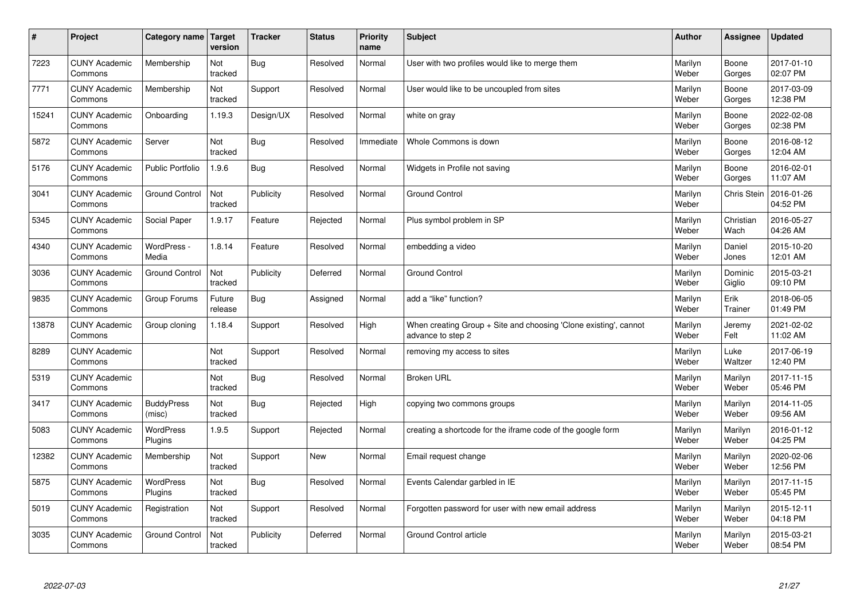| $\sharp$ | Project                         | Category name   Target      | version           | <b>Tracker</b> | <b>Status</b> | <b>Priority</b><br>name | <b>Subject</b>                                                                        | <b>Author</b>    | Assignee           | <b>Updated</b>         |
|----------|---------------------------------|-----------------------------|-------------------|----------------|---------------|-------------------------|---------------------------------------------------------------------------------------|------------------|--------------------|------------------------|
| 7223     | <b>CUNY Academic</b><br>Commons | Membership                  | Not<br>tracked    | Bug            | Resolved      | Normal                  | User with two profiles would like to merge them                                       | Marilyn<br>Weber | Boone<br>Gorges    | 2017-01-10<br>02:07 PM |
| 7771     | <b>CUNY Academic</b><br>Commons | Membership                  | Not<br>tracked    | Support        | Resolved      | Normal                  | User would like to be uncoupled from sites                                            | Marilyn<br>Weber | Boone<br>Gorges    | 2017-03-09<br>12:38 PM |
| 15241    | <b>CUNY Academic</b><br>Commons | Onboarding                  | 1.19.3            | Design/UX      | Resolved      | Normal                  | white on gray                                                                         | Marilyn<br>Weber | Boone<br>Gorges    | 2022-02-08<br>02:38 PM |
| 5872     | <b>CUNY Academic</b><br>Commons | Server                      | Not<br>tracked    | Bug            | Resolved      | Immediate               | Whole Commons is down                                                                 | Marilyn<br>Weber | Boone<br>Gorges    | 2016-08-12<br>12:04 AM |
| 5176     | <b>CUNY Academic</b><br>Commons | <b>Public Portfolio</b>     | 1.9.6             | Bug            | Resolved      | Normal                  | Widgets in Profile not saving                                                         | Marilyn<br>Weber | Boone<br>Gorges    | 2016-02-01<br>11:07 AM |
| 3041     | <b>CUNY Academic</b><br>Commons | <b>Ground Control</b>       | Not<br>tracked    | Publicity      | Resolved      | Normal                  | <b>Ground Control</b>                                                                 | Marilyn<br>Weber | <b>Chris Stein</b> | 2016-01-26<br>04:52 PM |
| 5345     | <b>CUNY Academic</b><br>Commons | Social Paper                | 1.9.17            | Feature        | Rejected      | Normal                  | Plus symbol problem in SP                                                             | Marilyn<br>Weber | Christian<br>Wach  | 2016-05-27<br>04:26 AM |
| 4340     | <b>CUNY Academic</b><br>Commons | WordPress -<br>Media        | 1.8.14            | Feature        | Resolved      | Normal                  | embedding a video                                                                     | Marilyn<br>Weber | Daniel<br>Jones    | 2015-10-20<br>12:01 AM |
| 3036     | <b>CUNY Academic</b><br>Commons | <b>Ground Control</b>       | Not<br>tracked    | Publicity      | Deferred      | Normal                  | <b>Ground Control</b>                                                                 | Marilyn<br>Weber | Dominic<br>Giglio  | 2015-03-21<br>09:10 PM |
| 9835     | <b>CUNY Academic</b><br>Commons | Group Forums                | Future<br>release | Bug            | Assigned      | Normal                  | add a "like" function?                                                                | Marilyn<br>Weber | Erik<br>Trainer    | 2018-06-05<br>01:49 PM |
| 13878    | <b>CUNY Academic</b><br>Commons | Group cloning               | 1.18.4            | Support        | Resolved      | High                    | When creating Group + Site and choosing 'Clone existing', cannot<br>advance to step 2 | Marilyn<br>Weber | Jeremy<br>Felt     | 2021-02-02<br>11:02 AM |
| 8289     | <b>CUNY Academic</b><br>Commons |                             | Not<br>tracked    | Support        | Resolved      | Normal                  | removing my access to sites                                                           | Marilyn<br>Weber | Luke<br>Waltzer    | 2017-06-19<br>12:40 PM |
| 5319     | <b>CUNY Academic</b><br>Commons |                             | Not<br>tracked    | Bug            | Resolved      | Normal                  | <b>Broken URL</b>                                                                     | Marilyn<br>Weber | Marilyn<br>Weber   | 2017-11-15<br>05:46 PM |
| 3417     | <b>CUNY Academic</b><br>Commons | <b>BuddyPress</b><br>(misc) | Not<br>tracked    | Bug            | Rejected      | High                    | copying two commons groups                                                            | Marilyn<br>Weber | Marilyn<br>Weber   | 2014-11-05<br>09:56 AM |
| 5083     | <b>CUNY Academic</b><br>Commons | <b>WordPress</b><br>Plugins | 1.9.5             | Support        | Rejected      | Normal                  | creating a shortcode for the iframe code of the google form                           | Marilyn<br>Weber | Marilyn<br>Weber   | 2016-01-12<br>04:25 PM |
| 12382    | <b>CUNY Academic</b><br>Commons | Membership                  | Not<br>tracked    | Support        | <b>New</b>    | Normal                  | Email request change                                                                  | Marilyn<br>Weber | Marilyn<br>Weber   | 2020-02-06<br>12:56 PM |
| 5875     | <b>CUNY Academic</b><br>Commons | WordPress<br>Plugins        | Not<br>tracked    | Bug            | Resolved      | Normal                  | Events Calendar garbled in IE                                                         | Marilyn<br>Weber | Marilyn<br>Weber   | 2017-11-15<br>05:45 PM |
| 5019     | <b>CUNY Academic</b><br>Commons | Registration                | Not<br>tracked    | Support        | Resolved      | Normal                  | Forgotten password for user with new email address                                    | Marilyn<br>Weber | Marilyn<br>Weber   | 2015-12-11<br>04:18 PM |
| 3035     | <b>CUNY Academic</b><br>Commons | <b>Ground Control</b>       | Not<br>tracked    | Publicity      | Deferred      | Normal                  | Ground Control article                                                                | Marilyn<br>Weber | Marilyn<br>Weber   | 2015-03-21<br>08:54 PM |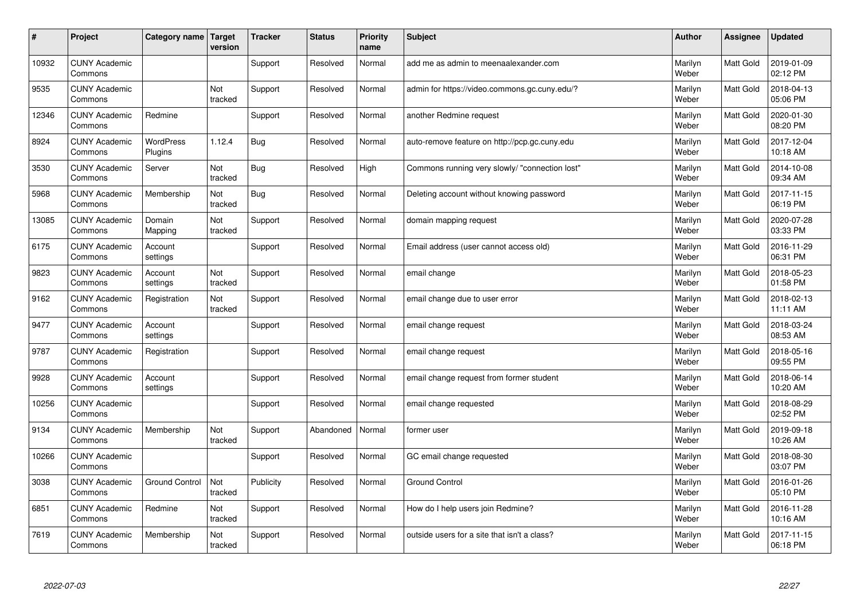| #     | Project                         | Category name               | <b>Target</b><br>version | <b>Tracker</b> | <b>Status</b> | <b>Priority</b><br>name | <b>Subject</b>                                 | <b>Author</b>    | Assignee         | <b>Updated</b>         |
|-------|---------------------------------|-----------------------------|--------------------------|----------------|---------------|-------------------------|------------------------------------------------|------------------|------------------|------------------------|
| 10932 | <b>CUNY Academic</b><br>Commons |                             |                          | Support        | Resolved      | Normal                  | add me as admin to meenaalexander.com          | Marilyn<br>Weber | <b>Matt Gold</b> | 2019-01-09<br>02:12 PM |
| 9535  | <b>CUNY Academic</b><br>Commons |                             | Not<br>tracked           | Support        | Resolved      | Normal                  | admin for https://video.commons.gc.cuny.edu/?  | Marilyn<br>Weber | Matt Gold        | 2018-04-13<br>05:06 PM |
| 12346 | <b>CUNY Academic</b><br>Commons | Redmine                     |                          | Support        | Resolved      | Normal                  | another Redmine request                        | Marilyn<br>Weber | Matt Gold        | 2020-01-30<br>08:20 PM |
| 8924  | <b>CUNY Academic</b><br>Commons | <b>WordPress</b><br>Plugins | 1.12.4                   | <b>Bug</b>     | Resolved      | Normal                  | auto-remove feature on http://pcp.gc.cuny.edu  | Marilyn<br>Weber | Matt Gold        | 2017-12-04<br>10:18 AM |
| 3530  | <b>CUNY Academic</b><br>Commons | Server                      | Not<br>tracked           | <b>Bug</b>     | Resolved      | High                    | Commons running very slowly/ "connection lost" | Marilyn<br>Weber | <b>Matt Gold</b> | 2014-10-08<br>09:34 AM |
| 5968  | <b>CUNY Academic</b><br>Commons | Membership                  | Not<br>tracked           | Bug            | Resolved      | Normal                  | Deleting account without knowing password      | Marilyn<br>Weber | Matt Gold        | 2017-11-15<br>06:19 PM |
| 13085 | <b>CUNY Academic</b><br>Commons | Domain<br>Mapping           | Not<br>tracked           | Support        | Resolved      | Normal                  | domain mapping request                         | Marilyn<br>Weber | Matt Gold        | 2020-07-28<br>03:33 PM |
| 6175  | <b>CUNY Academic</b><br>Commons | Account<br>settings         |                          | Support        | Resolved      | Normal                  | Email address (user cannot access old)         | Marilyn<br>Weber | Matt Gold        | 2016-11-29<br>06:31 PM |
| 9823  | <b>CUNY Academic</b><br>Commons | Account<br>settings         | Not<br>tracked           | Support        | Resolved      | Normal                  | email change                                   | Marilyn<br>Weber | Matt Gold        | 2018-05-23<br>01:58 PM |
| 9162  | <b>CUNY Academic</b><br>Commons | Registration                | Not<br>tracked           | Support        | Resolved      | Normal                  | email change due to user error                 | Marilyn<br>Weber | Matt Gold        | 2018-02-13<br>11:11 AM |
| 9477  | <b>CUNY Academic</b><br>Commons | Account<br>settings         |                          | Support        | Resolved      | Normal                  | email change request                           | Marilyn<br>Weber | Matt Gold        | 2018-03-24<br>08:53 AM |
| 9787  | <b>CUNY Academic</b><br>Commons | Registration                |                          | Support        | Resolved      | Normal                  | email change request                           | Marilyn<br>Weber | Matt Gold        | 2018-05-16<br>09:55 PM |
| 9928  | <b>CUNY Academic</b><br>Commons | Account<br>settings         |                          | Support        | Resolved      | Normal                  | email change request from former student       | Marilyn<br>Weber | Matt Gold        | 2018-06-14<br>10:20 AM |
| 10256 | <b>CUNY Academic</b><br>Commons |                             |                          | Support        | Resolved      | Normal                  | email change requested                         | Marilyn<br>Weber | Matt Gold        | 2018-08-29<br>02:52 PM |
| 9134  | <b>CUNY Academic</b><br>Commons | Membership                  | Not<br>tracked           | Support        | Abandoned     | Normal                  | former user                                    | Marilyn<br>Weber | Matt Gold        | 2019-09-18<br>10:26 AM |
| 10266 | <b>CUNY Academic</b><br>Commons |                             |                          | Support        | Resolved      | Normal                  | GC email change requested                      | Marilyn<br>Weber | Matt Gold        | 2018-08-30<br>03:07 PM |
| 3038  | <b>CUNY Academic</b><br>Commons | <b>Ground Control</b>       | Not<br>tracked           | Publicity      | Resolved      | Normal                  | <b>Ground Control</b>                          | Marilyn<br>Weber | Matt Gold        | 2016-01-26<br>05:10 PM |
| 6851  | <b>CUNY Academic</b><br>Commons | Redmine                     | Not<br>tracked           | Support        | Resolved      | Normal                  | How do I help users join Redmine?              | Marilyn<br>Weber | Matt Gold        | 2016-11-28<br>10:16 AM |
| 7619  | <b>CUNY Academic</b><br>Commons | Membership                  | Not<br>tracked           | Support        | Resolved      | Normal                  | outside users for a site that isn't a class?   | Marilyn<br>Weber | Matt Gold        | 2017-11-15<br>06:18 PM |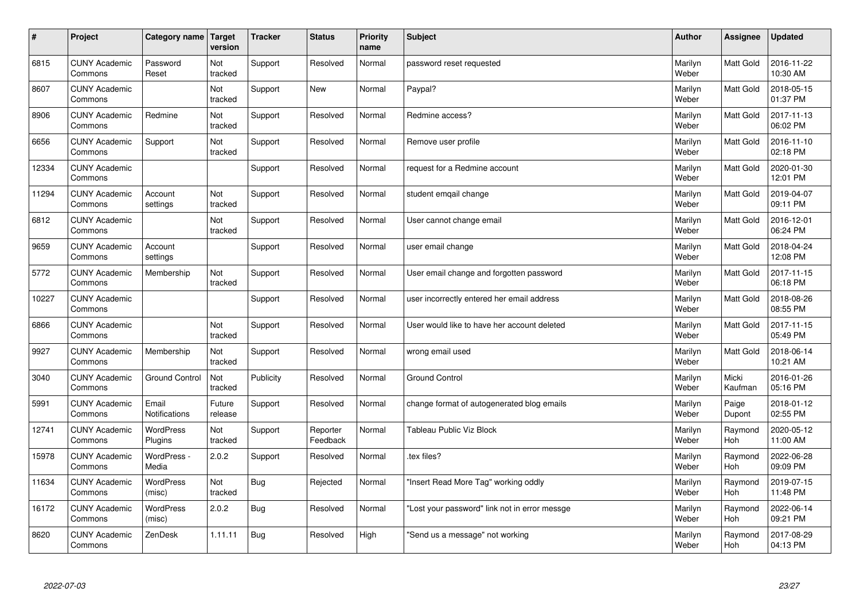| $\vert$ # | Project                         | Category name Target          | version           | <b>Tracker</b> | <b>Status</b>        | <b>Priority</b><br>name | <b>Subject</b>                                | <b>Author</b>    | <b>Assignee</b>  | <b>Updated</b>         |
|-----------|---------------------------------|-------------------------------|-------------------|----------------|----------------------|-------------------------|-----------------------------------------------|------------------|------------------|------------------------|
| 6815      | <b>CUNY Academic</b><br>Commons | Password<br>Reset             | Not<br>tracked    | Support        | Resolved             | Normal                  | password reset requested                      | Marilyn<br>Weber | <b>Matt Gold</b> | 2016-11-22<br>10:30 AM |
| 8607      | <b>CUNY Academic</b><br>Commons |                               | Not<br>tracked    | Support        | <b>New</b>           | Normal                  | Paypal?                                       | Marilyn<br>Weber | <b>Matt Gold</b> | 2018-05-15<br>01:37 PM |
| 8906      | <b>CUNY Academic</b><br>Commons | Redmine                       | Not<br>tracked    | Support        | Resolved             | Normal                  | Redmine access?                               | Marilyn<br>Weber | Matt Gold        | 2017-11-13<br>06:02 PM |
| 6656      | <b>CUNY Academic</b><br>Commons | Support                       | Not<br>tracked    | Support        | Resolved             | Normal                  | Remove user profile                           | Marilyn<br>Weber | Matt Gold        | 2016-11-10<br>02:18 PM |
| 12334     | <b>CUNY Academic</b><br>Commons |                               |                   | Support        | Resolved             | Normal                  | request for a Redmine account                 | Marilyn<br>Weber | Matt Gold        | 2020-01-30<br>12:01 PM |
| 11294     | <b>CUNY Academic</b><br>Commons | Account<br>settings           | Not<br>tracked    | Support        | Resolved             | Normal                  | student emgail change                         | Marilyn<br>Weber | Matt Gold        | 2019-04-07<br>09:11 PM |
| 6812      | <b>CUNY Academic</b><br>Commons |                               | Not<br>tracked    | Support        | Resolved             | Normal                  | User cannot change email                      | Marilyn<br>Weber | Matt Gold        | 2016-12-01<br>06:24 PM |
| 9659      | <b>CUNY Academic</b><br>Commons | Account<br>settings           |                   | Support        | Resolved             | Normal                  | user email change                             | Marilyn<br>Weber | Matt Gold        | 2018-04-24<br>12:08 PM |
| 5772      | <b>CUNY Academic</b><br>Commons | Membership                    | Not<br>tracked    | Support        | Resolved             | Normal                  | User email change and forgotten password      | Marilyn<br>Weber | Matt Gold        | 2017-11-15<br>06:18 PM |
| 10227     | <b>CUNY Academic</b><br>Commons |                               |                   | Support        | Resolved             | Normal                  | user incorrectly entered her email address    | Marilyn<br>Weber | Matt Gold        | 2018-08-26<br>08:55 PM |
| 6866      | <b>CUNY Academic</b><br>Commons |                               | Not<br>tracked    | Support        | Resolved             | Normal                  | User would like to have her account deleted   | Marilyn<br>Weber | Matt Gold        | 2017-11-15<br>05:49 PM |
| 9927      | <b>CUNY Academic</b><br>Commons | Membership                    | Not<br>tracked    | Support        | Resolved             | Normal                  | wrong email used                              | Marilyn<br>Weber | Matt Gold        | 2018-06-14<br>10:21 AM |
| 3040      | <b>CUNY Academic</b><br>Commons | <b>Ground Control</b>         | Not<br>tracked    | Publicity      | Resolved             | Normal                  | <b>Ground Control</b>                         | Marilyn<br>Weber | Micki<br>Kaufman | 2016-01-26<br>05:16 PM |
| 5991      | <b>CUNY Academic</b><br>Commons | Email<br><b>Notifications</b> | Future<br>release | Support        | Resolved             | Normal                  | change format of autogenerated blog emails    | Marilyn<br>Weber | Paige<br>Dupont  | 2018-01-12<br>02:55 PM |
| 12741     | <b>CUNY Academic</b><br>Commons | <b>WordPress</b><br>Plugins   | Not<br>tracked    | Support        | Reporter<br>Feedback | Normal                  | Tableau Public Viz Block                      | Marilyn<br>Weber | Raymond<br>Hoh   | 2020-05-12<br>11:00 AM |
| 15978     | <b>CUNY Academic</b><br>Commons | WordPress -<br>Media          | 2.0.2             | Support        | Resolved             | Normal                  | tex files?                                    | Marilyn<br>Weber | Raymond<br>Hoh   | 2022-06-28<br>09:09 PM |
| 11634     | <b>CUNY Academic</b><br>Commons | WordPress<br>(misc)           | Not<br>tracked    | <b>Bug</b>     | Rejected             | Normal                  | 'Insert Read More Tag" working oddly          | Marilyn<br>Weber | Raymond<br>Hoh   | 2019-07-15<br>11:48 PM |
| 16172     | <b>CUNY Academic</b><br>Commons | <b>WordPress</b><br>(misc)    | 2.0.2             | Bug            | Resolved             | Normal                  | 'Lost your password" link not in error messge | Marilyn<br>Weber | Raymond<br>Hoh   | 2022-06-14<br>09:21 PM |
| 8620      | <b>CUNY Academic</b><br>Commons | ZenDesk                       | 1.11.11           | Bug            | Resolved             | High                    | 'Send us a message" not working               | Marilyn<br>Weber | Raymond<br>Hoh   | 2017-08-29<br>04:13 PM |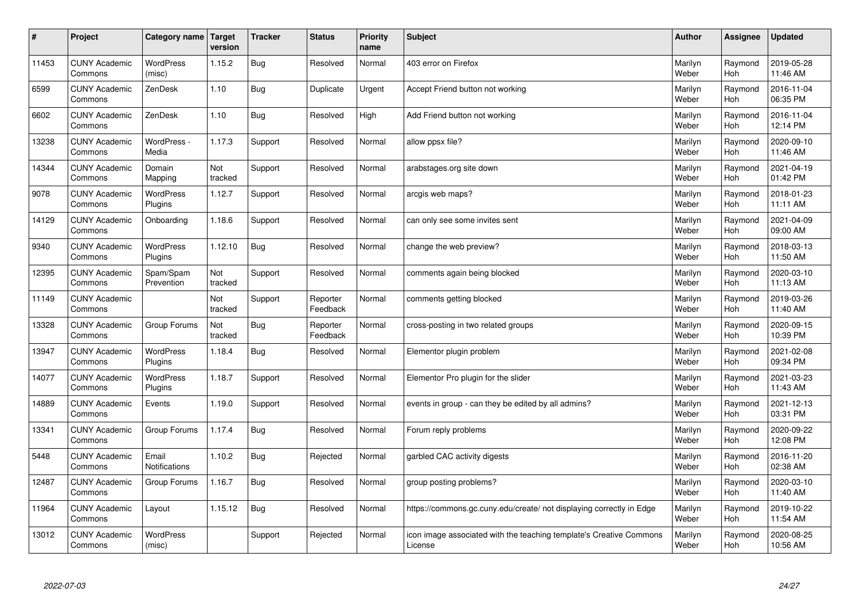| $\sharp$ | Project                         | <b>Category name</b>        | Target<br>version | <b>Tracker</b> | <b>Status</b>        | <b>Priority</b><br>name | <b>Subject</b>                                                                 | <b>Author</b>    | Assignee       | <b>Updated</b>         |
|----------|---------------------------------|-----------------------------|-------------------|----------------|----------------------|-------------------------|--------------------------------------------------------------------------------|------------------|----------------|------------------------|
| 11453    | <b>CUNY Academic</b><br>Commons | <b>WordPress</b><br>(misc)  | 1.15.2            | Bug            | Resolved             | Normal                  | 403 error on Firefox                                                           | Marilyn<br>Weber | Raymond<br>Hoh | 2019-05-28<br>11:46 AM |
| 6599     | <b>CUNY Academic</b><br>Commons | ZenDesk                     | 1.10              | <b>Bug</b>     | Duplicate            | Urgent                  | Accept Friend button not working                                               | Marilyn<br>Weber | Raymond<br>Hoh | 2016-11-04<br>06:35 PM |
| 6602     | <b>CUNY Academic</b><br>Commons | ZenDesk                     | 1.10              | <b>Bug</b>     | Resolved             | High                    | Add Friend button not working                                                  | Marilyn<br>Weber | Raymond<br>Hoh | 2016-11-04<br>12:14 PM |
| 13238    | <b>CUNY Academic</b><br>Commons | WordPress -<br>Media        | 1.17.3            | Support        | Resolved             | Normal                  | allow ppsx file?                                                               | Marilyn<br>Weber | Raymond<br>Hoh | 2020-09-10<br>11:46 AM |
| 14344    | <b>CUNY Academic</b><br>Commons | Domain<br>Mapping           | Not<br>tracked    | Support        | Resolved             | Normal                  | arabstages.org site down                                                       | Marilyn<br>Weber | Raymond<br>Hoh | 2021-04-19<br>01:42 PM |
| 9078     | <b>CUNY Academic</b><br>Commons | WordPress<br>Plugins        | 1.12.7            | Support        | Resolved             | Normal                  | arcgis web maps?                                                               | Marilyn<br>Weber | Raymond<br>Hoh | 2018-01-23<br>11:11 AM |
| 14129    | <b>CUNY Academic</b><br>Commons | Onboarding                  | 1.18.6            | Support        | Resolved             | Normal                  | can only see some invites sent                                                 | Marilyn<br>Weber | Raymond<br>Hoh | 2021-04-09<br>09:00 AM |
| 9340     | <b>CUNY Academic</b><br>Commons | <b>WordPress</b><br>Plugins | 1.12.10           | Bug            | Resolved             | Normal                  | change the web preview?                                                        | Marilyn<br>Weber | Raymond<br>Hoh | 2018-03-13<br>11:50 AM |
| 12395    | <b>CUNY Academic</b><br>Commons | Spam/Spam<br>Prevention     | Not<br>tracked    | Support        | Resolved             | Normal                  | comments again being blocked                                                   | Marilyn<br>Weber | Raymond<br>Hoh | 2020-03-10<br>11:13 AM |
| 11149    | <b>CUNY Academic</b><br>Commons |                             | Not<br>tracked    | Support        | Reporter<br>Feedback | Normal                  | comments getting blocked                                                       | Marilyn<br>Weber | Raymond<br>Hoh | 2019-03-26<br>11:40 AM |
| 13328    | <b>CUNY Academic</b><br>Commons | Group Forums                | Not<br>tracked    | Bug            | Reporter<br>Feedback | Normal                  | cross-posting in two related groups                                            | Marilyn<br>Weber | Raymond<br>Hoh | 2020-09-15<br>10:39 PM |
| 13947    | <b>CUNY Academic</b><br>Commons | <b>WordPress</b><br>Plugins | 1.18.4            | Bug            | Resolved             | Normal                  | Elementor plugin problem                                                       | Marilyn<br>Weber | Raymond<br>Hoh | 2021-02-08<br>09:34 PM |
| 14077    | <b>CUNY Academic</b><br>Commons | <b>WordPress</b><br>Plugins | 1.18.7            | Support        | Resolved             | Normal                  | Elementor Pro plugin for the slider                                            | Marilyn<br>Weber | Raymond<br>Hoh | 2021-03-23<br>11:43 AM |
| 14889    | <b>CUNY Academic</b><br>Commons | Events                      | 1.19.0            | Support        | Resolved             | Normal                  | events in group - can they be edited by all admins?                            | Marilyn<br>Weber | Raymond<br>Hoh | 2021-12-13<br>03:31 PM |
| 13341    | <b>CUNY Academic</b><br>Commons | Group Forums                | 1.17.4            | <b>Bug</b>     | Resolved             | Normal                  | Forum reply problems                                                           | Marilyn<br>Weber | Raymond<br>Hoh | 2020-09-22<br>12:08 PM |
| 5448     | <b>CUNY Academic</b><br>Commons | Email<br>Notifications      | 1.10.2            | <b>Bug</b>     | Rejected             | Normal                  | garbled CAC activity digests                                                   | Marilyn<br>Weber | Raymond<br>Hoh | 2016-11-20<br>02:38 AM |
| 12487    | <b>CUNY Academic</b><br>Commons | Group Forums                | 1.16.7            | <b>Bug</b>     | Resolved             | Normal                  | group posting problems?                                                        | Marilyn<br>Weber | Raymond<br>Hoh | 2020-03-10<br>11:40 AM |
| 11964    | <b>CUNY Academic</b><br>Commons | Layout                      | 1.15.12           | Bug            | Resolved             | Normal                  | https://commons.gc.cuny.edu/create/ not displaying correctly in Edge           | Marilyn<br>Weber | Raymond<br>Hoh | 2019-10-22<br>11:54 AM |
| 13012    | <b>CUNY Academic</b><br>Commons | <b>WordPress</b><br>(misc)  |                   | Support        | Rejected             | Normal                  | icon image associated with the teaching template's Creative Commons<br>License | Marilyn<br>Weber | Raymond<br>Hoh | 2020-08-25<br>10:56 AM |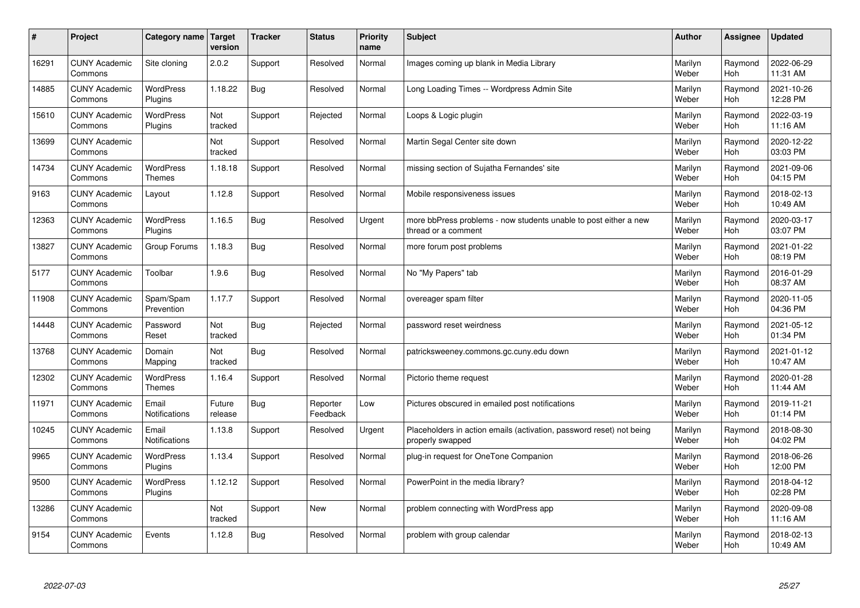| #     | Project                         | <b>Category name</b>              | Target<br>version | <b>Tracker</b> | <b>Status</b>        | <b>Priority</b><br>name | <b>Subject</b>                                                                           | <b>Author</b>    | Assignee       | <b>Updated</b>         |
|-------|---------------------------------|-----------------------------------|-------------------|----------------|----------------------|-------------------------|------------------------------------------------------------------------------------------|------------------|----------------|------------------------|
| 16291 | <b>CUNY Academic</b><br>Commons | Site cloning                      | 2.0.2             | Support        | Resolved             | Normal                  | Images coming up blank in Media Library                                                  | Marilyn<br>Weber | Raymond<br>Hoh | 2022-06-29<br>11:31 AM |
| 14885 | <b>CUNY Academic</b><br>Commons | <b>WordPress</b><br>Plugins       | 1.18.22           | <b>Bug</b>     | Resolved             | Normal                  | Long Loading Times -- Wordpress Admin Site                                               | Marilyn<br>Weber | Raymond<br>Hoh | 2021-10-26<br>12:28 PM |
| 15610 | <b>CUNY Academic</b><br>Commons | <b>WordPress</b><br>Plugins       | Not<br>tracked    | Support        | Rejected             | Normal                  | Loops & Logic plugin                                                                     | Marilyn<br>Weber | Raymond<br>Hoh | 2022-03-19<br>11:16 AM |
| 13699 | <b>CUNY Academic</b><br>Commons |                                   | Not<br>tracked    | Support        | Resolved             | Normal                  | Martin Segal Center site down                                                            | Marilyn<br>Weber | Raymond<br>Hoh | 2020-12-22<br>03:03 PM |
| 14734 | <b>CUNY Academic</b><br>Commons | <b>WordPress</b><br><b>Themes</b> | 1.18.18           | Support        | Resolved             | Normal                  | missing section of Sujatha Fernandes' site                                               | Marilyn<br>Weber | Raymond<br>Hoh | 2021-09-06<br>04:15 PM |
| 9163  | <b>CUNY Academic</b><br>Commons | Layout                            | 1.12.8            | Support        | Resolved             | Normal                  | Mobile responsiveness issues                                                             | Marilyn<br>Weber | Raymond<br>Hoh | 2018-02-13<br>10:49 AM |
| 12363 | <b>CUNY Academic</b><br>Commons | <b>WordPress</b><br>Plugins       | 1.16.5            | Bug            | Resolved             | Urgent                  | more bbPress problems - now students unable to post either a new<br>thread or a comment  | Marilyn<br>Weber | Raymond<br>Hoh | 2020-03-17<br>03:07 PM |
| 13827 | <b>CUNY Academic</b><br>Commons | Group Forums                      | 1.18.3            | Bug            | Resolved             | Normal                  | more forum post problems                                                                 | Marilyn<br>Weber | Raymond<br>Hoh | 2021-01-22<br>08:19 PM |
| 5177  | <b>CUNY Academic</b><br>Commons | Toolbar                           | 1.9.6             | <b>Bug</b>     | Resolved             | Normal                  | No "My Papers" tab                                                                       | Marilyn<br>Weber | Raymond<br>Hoh | 2016-01-29<br>08:37 AM |
| 11908 | <b>CUNY Academic</b><br>Commons | Spam/Spam<br>Prevention           | 1.17.7            | Support        | Resolved             | Normal                  | overeager spam filter                                                                    | Marilyn<br>Weber | Raymond<br>Hoh | 2020-11-05<br>04:36 PM |
| 14448 | <b>CUNY Academic</b><br>Commons | Password<br>Reset                 | Not<br>tracked    | <b>Bug</b>     | Rejected             | Normal                  | password reset weirdness                                                                 | Marilyn<br>Weber | Raymond<br>Hoh | 2021-05-12<br>01:34 PM |
| 13768 | <b>CUNY Academic</b><br>Commons | Domain<br>Mapping                 | Not<br>tracked    | <b>Bug</b>     | Resolved             | Normal                  | patricksweeney.commons.gc.cuny.edu down                                                  | Marilyn<br>Weber | Raymond<br>Hoh | 2021-01-12<br>10:47 AM |
| 12302 | <b>CUNY Academic</b><br>Commons | <b>WordPress</b><br><b>Themes</b> | 1.16.4            | Support        | Resolved             | Normal                  | Pictorio theme request                                                                   | Marilyn<br>Weber | Raymond<br>Hoh | 2020-01-28<br>11:44 AM |
| 11971 | <b>CUNY Academic</b><br>Commons | Email<br>Notifications            | Future<br>release | <b>Bug</b>     | Reporter<br>Feedback | Low                     | Pictures obscured in emailed post notifications                                          | Marilyn<br>Weber | Raymond<br>Hoh | 2019-11-21<br>01:14 PM |
| 10245 | <b>CUNY Academic</b><br>Commons | Email<br><b>Notifications</b>     | 1.13.8            | Support        | Resolved             | Urgent                  | Placeholders in action emails (activation, password reset) not being<br>properly swapped | Marilyn<br>Weber | Raymond<br>Hoh | 2018-08-30<br>04:02 PM |
| 9965  | <b>CUNY Academic</b><br>Commons | <b>WordPress</b><br>Plugins       | 1.13.4            | Support        | Resolved             | Normal                  | plug-in request for OneTone Companion                                                    | Marilyn<br>Weber | Raymond<br>Hoh | 2018-06-26<br>12:00 PM |
| 9500  | <b>CUNY Academic</b><br>Commons | <b>WordPress</b><br>Plugins       | 1.12.12           | Support        | Resolved             | Normal                  | PowerPoint in the media library?                                                         | Marilyn<br>Weber | Raymond<br>Hoh | 2018-04-12<br>02:28 PM |
| 13286 | <b>CUNY Academic</b><br>Commons |                                   | Not<br>tracked    | Support        | <b>New</b>           | Normal                  | problem connecting with WordPress app                                                    | Marilyn<br>Weber | Raymond<br>Hoh | 2020-09-08<br>11:16 AM |
| 9154  | <b>CUNY Academic</b><br>Commons | Events                            | 1.12.8            | Bug            | Resolved             | Normal                  | problem with group calendar                                                              | Marilyn<br>Weber | Raymond<br>Hoh | 2018-02-13<br>10:49 AM |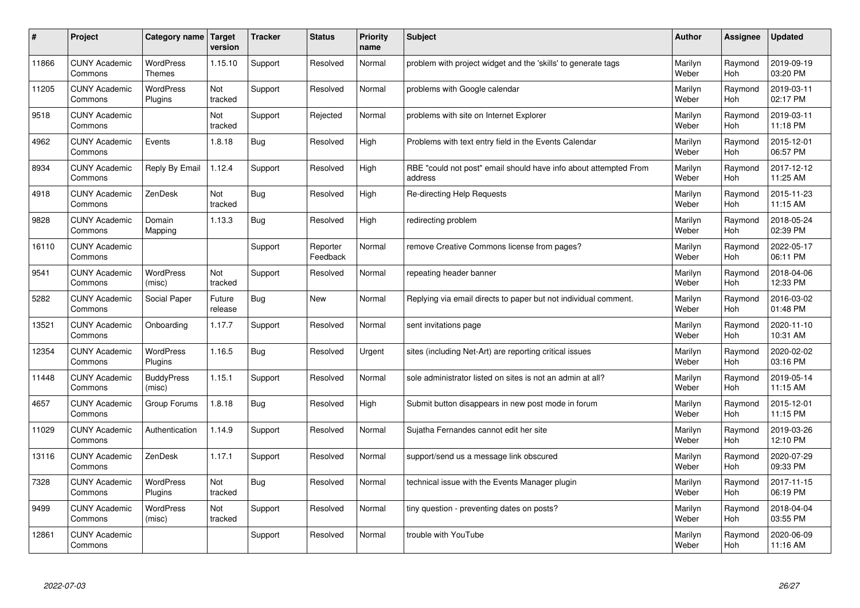| $\pmb{\#}$ | Project                         | Category name                     | Target<br>version     | <b>Tracker</b> | <b>Status</b>        | <b>Priority</b><br>name | <b>Subject</b>                                                              | <b>Author</b>    | Assignee              | Updated                |
|------------|---------------------------------|-----------------------------------|-----------------------|----------------|----------------------|-------------------------|-----------------------------------------------------------------------------|------------------|-----------------------|------------------------|
| 11866      | <b>CUNY Academic</b><br>Commons | <b>WordPress</b><br><b>Themes</b> | 1.15.10               | Support        | Resolved             | Normal                  | problem with project widget and the 'skills' to generate tags               | Marilyn<br>Weber | Raymond<br><b>Hoh</b> | 2019-09-19<br>03:20 PM |
| 11205      | <b>CUNY Academic</b><br>Commons | <b>WordPress</b><br>Plugins       | Not<br>tracked        | Support        | Resolved             | Normal                  | problems with Google calendar                                               | Marilyn<br>Weber | Raymond<br>Hoh        | 2019-03-11<br>02:17 PM |
| 9518       | <b>CUNY Academic</b><br>Commons |                                   | Not<br>tracked        | Support        | Rejected             | Normal                  | problems with site on Internet Explorer                                     | Marilyn<br>Weber | Raymond<br>Hoh        | 2019-03-11<br>11:18 PM |
| 4962       | <b>CUNY Academic</b><br>Commons | Events                            | 1.8.18                | Bug            | Resolved             | High                    | Problems with text entry field in the Events Calendar                       | Marilyn<br>Weber | Raymond<br>Hoh        | 2015-12-01<br>06:57 PM |
| 8934       | <b>CUNY Academic</b><br>Commons | Reply By Email                    | 1.12.4                | Support        | Resolved             | High                    | RBE "could not post" email should have info about attempted From<br>address | Marilyn<br>Weber | Raymond<br>Hoh        | 2017-12-12<br>11:25 AM |
| 4918       | <b>CUNY Academic</b><br>Commons | ZenDesk                           | Not<br>tracked        | <b>Bug</b>     | Resolved             | High                    | <b>Re-directing Help Requests</b>                                           | Marilyn<br>Weber | Raymond<br>Hoh        | 2015-11-23<br>11:15 AM |
| 9828       | <b>CUNY Academic</b><br>Commons | Domain<br>Mapping                 | 1.13.3                | <b>Bug</b>     | Resolved             | High                    | redirecting problem                                                         | Marilyn<br>Weber | Raymond<br>Hoh        | 2018-05-24<br>02:39 PM |
| 16110      | <b>CUNY Academic</b><br>Commons |                                   |                       | Support        | Reporter<br>Feedback | Normal                  | remove Creative Commons license from pages?                                 | Marilyn<br>Weber | Raymond<br>Hoh        | 2022-05-17<br>06:11 PM |
| 9541       | <b>CUNY Academic</b><br>Commons | WordPress<br>(misc)               | Not<br>tracked        | Support        | Resolved             | Normal                  | repeating header banner                                                     | Marilyn<br>Weber | Raymond<br>Hoh        | 2018-04-06<br>12:33 PM |
| 5282       | <b>CUNY Academic</b><br>Commons | <b>Social Paper</b>               | Future<br>release     | Bug            | <b>New</b>           | Normal                  | Replying via email directs to paper but not individual comment.             | Marilyn<br>Weber | Raymond<br>Hoh        | 2016-03-02<br>01:48 PM |
| 13521      | <b>CUNY Academic</b><br>Commons | Onboarding                        | 1.17.7                | Support        | Resolved             | Normal                  | sent invitations page                                                       | Marilyn<br>Weber | Raymond<br><b>Hoh</b> | 2020-11-10<br>10:31 AM |
| 12354      | <b>CUNY Academic</b><br>Commons | <b>WordPress</b><br>Plugins       | 1.16.5                | <b>Bug</b>     | Resolved             | Urgent                  | sites (including Net-Art) are reporting critical issues                     | Marilyn<br>Weber | Raymond<br>Hoh        | 2020-02-02<br>03:16 PM |
| 11448      | <b>CUNY Academic</b><br>Commons | <b>BuddyPress</b><br>(misc)       | 1.15.1                | Support        | Resolved             | Normal                  | sole administrator listed on sites is not an admin at all?                  | Marilyn<br>Weber | Raymond<br>Hoh        | 2019-05-14<br>11:15 AM |
| 4657       | <b>CUNY Academic</b><br>Commons | Group Forums                      | 1.8.18                | <b>Bug</b>     | Resolved             | High                    | Submit button disappears in new post mode in forum                          | Marilyn<br>Weber | Raymond<br>Hoh        | 2015-12-01<br>11:15 PM |
| 11029      | <b>CUNY Academic</b><br>Commons | Authentication                    | 1.14.9                | Support        | Resolved             | Normal                  | Sujatha Fernandes cannot edit her site                                      | Marilyn<br>Weber | Raymond<br>Hoh        | 2019-03-26<br>12:10 PM |
| 13116      | <b>CUNY Academic</b><br>Commons | ZenDesk                           | 1.17.1                | Support        | Resolved             | Normal                  | support/send us a message link obscured                                     | Marilyn<br>Weber | Raymond<br><b>Hoh</b> | 2020-07-29<br>09:33 PM |
| 7328       | <b>CUNY Academic</b><br>Commons | <b>WordPress</b><br>Plugins       | <b>Not</b><br>tracked | <b>Bug</b>     | Resolved             | Normal                  | technical issue with the Events Manager plugin                              | Marilyn<br>Weber | Raymond<br>Hoh        | 2017-11-15<br>06:19 PM |
| 9499       | <b>CUNY Academic</b><br>Commons | <b>WordPress</b><br>(misc)        | Not<br>tracked        | Support        | Resolved             | Normal                  | tiny question - preventing dates on posts?                                  | Marilyn<br>Weber | Raymond<br>Hoh        | 2018-04-04<br>03:55 PM |
| 12861      | <b>CUNY Academic</b><br>Commons |                                   |                       | Support        | Resolved             | Normal                  | trouble with YouTube                                                        | Marilyn<br>Weber | Raymond<br>Hoh        | 2020-06-09<br>11:16 AM |